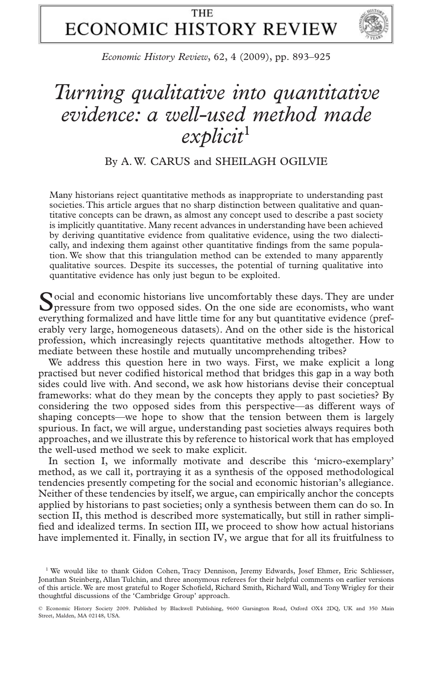## **THE ECONOMIC HISTORY REVIEW**



*Economic History Review*, 62, 4 (2009), pp. 893–925

# *Turning qualitative into quantitative evidence: a well-used method made explicit*<sup>1</sup>

By A. W. CARUS and SHEILAGH OGILVIE

Many historians reject quantitative methods as inappropriate to understanding past societies. This article argues that no sharp distinction between qualitative and quantitative concepts can be drawn, as almost any concept used to describe a past society is implicitly quantitative. Many recent advances in understanding have been achieved by deriving quantitative evidence from qualitative evidence, using the two dialectically, and indexing them against other quantitative findings from the same population. We show that this triangulation method can be extended to many apparently qualitative sources. Despite its successes, the potential of turning qualitative into quantitative evidence has only just begun to be exploited.

Social and economic historians live uncomfortably these days. They are under **P** pressure from two opposed sides. On the one side are economists, who want everything formalized and have little time for any but quantitative evidence (preferably very large, homogeneous datasets). And on the other side is the historical profession, which increasingly rejects quantitative methods altogether. How to mediate between these hostile and mutually uncomprehending tribes?

We address this question here in two ways. First, we make explicit a long practised but never codified historical method that bridges this gap in a way both sides could live with. And second, we ask how historians devise their conceptual frameworks: what do they mean by the concepts they apply to past societies? By considering the two opposed sides from this perspective—as different ways of shaping concepts—we hope to show that the tension between them is largely spurious. In fact, we will argue, understanding past societies always requires both approaches, and we illustrate this by reference to historical work that has employed the well-used method we seek to make explicit.

In section I, we informally motivate and describe this 'micro-exemplary' method, as we call it, portraying it as a synthesis of the opposed methodological tendencies presently competing for the social and economic historian's allegiance. Neither of these tendencies by itself, we argue, can empirically anchor the concepts applied by historians to past societies; only a synthesis between them can do so. In section II, this method is described more systematically, but still in rather simplified and idealized terms. In section III, we proceed to show how actual historians have implemented it. Finally, in section IV, we argue that for all its fruitfulness to

<sup>&</sup>lt;sup>1</sup> We would like to thank Gidon Cohen, Tracy Dennison, Jeremy Edwards, Josef Ehmer, Eric Schliesser, Jonathan Steinberg, Allan Tulchin, and three anonymous referees for their helpful comments on earlier versions of this article.We are most grateful to Roger Schofield, Richard Smith, Richard Wall, and Tony Wrigley for their thoughtful discussions of the 'Cambridge Group' approach.

<sup>©</sup> Economic History Society 2009. Published by Blackwell Publishing, 9600 Garsington Road, Oxford OX4 2DQ, UK and 350 Main Street, Malden, MA 02148, USA.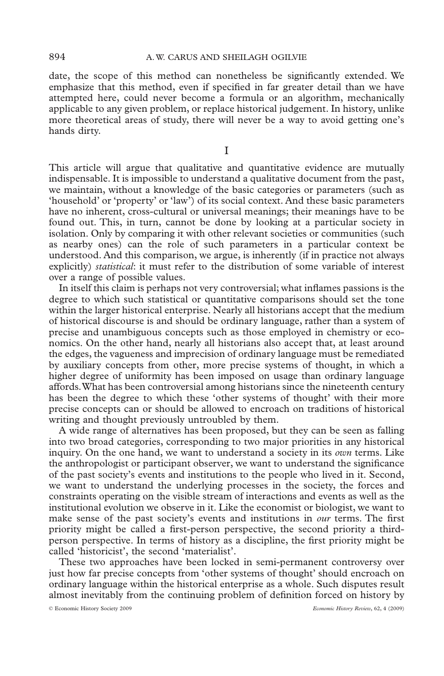date, the scope of this method can nonetheless be significantly extended. We emphasize that this method, even if specified in far greater detail than we have attempted here, could never become a formula or an algorithm, mechanically applicable to any given problem, or replace historical judgement. In history, unlike more theoretical areas of study, there will never be a way to avoid getting one's hands dirty.

I

This article will argue that qualitative and quantitative evidence are mutually indispensable. It is impossible to understand a qualitative document from the past, we maintain, without a knowledge of the basic categories or parameters (such as 'household' or 'property' or 'law') of its social context. And these basic parameters have no inherent, cross-cultural or universal meanings; their meanings have to be found out. This, in turn, cannot be done by looking at a particular society in isolation. Only by comparing it with other relevant societies or communities (such as nearby ones) can the role of such parameters in a particular context be understood. And this comparison, we argue, is inherently (if in practice not always explicitly) *statistical*: it must refer to the distribution of some variable of interest over a range of possible values.

In itself this claim is perhaps not very controversial; what inflames passions is the degree to which such statistical or quantitative comparisons should set the tone within the larger historical enterprise. Nearly all historians accept that the medium of historical discourse is and should be ordinary language, rather than a system of precise and unambiguous concepts such as those employed in chemistry or economics. On the other hand, nearly all historians also accept that, at least around the edges, the vagueness and imprecision of ordinary language must be remediated by auxiliary concepts from other, more precise systems of thought, in which a higher degree of uniformity has been imposed on usage than ordinary language affords.What has been controversial among historians since the nineteenth century has been the degree to which these 'other systems of thought' with their more precise concepts can or should be allowed to encroach on traditions of historical writing and thought previously untroubled by them.

A wide range of alternatives has been proposed, but they can be seen as falling into two broad categories, corresponding to two major priorities in any historical inquiry. On the one hand, we want to understand a society in its *own* terms. Like the anthropologist or participant observer, we want to understand the significance of the past society's events and institutions to the people who lived in it. Second, we want to understand the underlying processes in the society, the forces and constraints operating on the visible stream of interactions and events as well as the institutional evolution we observe in it. Like the economist or biologist, we want to make sense of the past society's events and institutions in *our* terms. The first priority might be called a first-person perspective, the second priority a thirdperson perspective. In terms of history as a discipline, the first priority might be called 'historicist', the second 'materialist'.

These two approaches have been locked in semi-permanent controversy over just how far precise concepts from 'other systems of thought' should encroach on ordinary language within the historical enterprise as a whole. Such disputes result almost inevitably from the continuing problem of definition forced on history by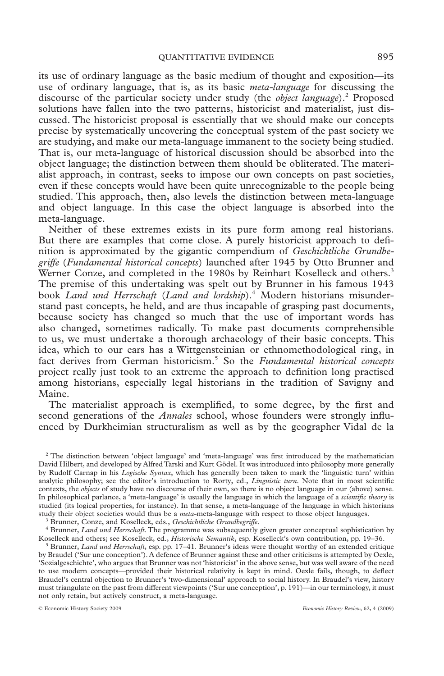its use of ordinary language as the basic medium of thought and exposition—its use of ordinary language, that is, as its basic *meta-language* for discussing the discourse of the particular society under study (the *object language*).2 Proposed solutions have fallen into the two patterns, historicist and materialist, just discussed. The historicist proposal is essentially that we should make our concepts precise by systematically uncovering the conceptual system of the past society we are studying, and make our meta-language immanent to the society being studied. That is, our meta-language of historical discussion should be absorbed into the object language; the distinction between them should be obliterated. The materialist approach, in contrast, seeks to impose our own concepts on past societies, even if these concepts would have been quite unrecognizable to the people being studied. This approach, then, also levels the distinction between meta-language and object language. In this case the object language is absorbed into the meta-language.

Neither of these extremes exists in its pure form among real historians. But there are examples that come close. A purely historicist approach to definition is approximated by the gigantic compendium of *Geschichtliche Grundbegriffe* (*Fundamental historical concepts*) launched after 1945 by Otto Brunner and Werner Conze, and completed in the 1980s by Reinhart Koselleck and others.<sup>3</sup> The premise of this undertaking was spelt out by Brunner in his famous 1943 book *Land und Herrschaft* (*Land and lordship*).4 Modern historians misunderstand past concepts, he held, and are thus incapable of grasping past documents, because society has changed so much that the use of important words has also changed, sometimes radically. To make past documents comprehensible to us, we must undertake a thorough archaeology of their basic concepts. This idea, which to our ears has a Wittgensteinian or ethnomethodological ring, in fact derives from German historicism.5 So the *Fundamental historical concepts* project really just took to an extreme the approach to definition long practised among historians, especially legal historians in the tradition of Savigny and Maine.

The materialist approach is exemplified, to some degree, by the first and second generations of the *Annales* school, whose founders were strongly influenced by Durkheimian structuralism as well as by the geographer Vidal de la

<sup>3</sup> Brunner, Conze, and Koselleck, eds., *Geschichtliche Grundbegriffe*.

 $2$  The distinction between 'object language' and 'meta-language' was first introduced by the mathematician David Hilbert, and developed by Alfred Tarski and Kurt Gödel. It was introduced into philosophy more generally by Rudolf Carnap in his *Logische Syntax*, which has generally been taken to mark the 'linguistic turn' within analytic philosophy; see the editor's introduction to Rorty, ed., *Linguistic turn*. Note that in most scientific contexts, the *objects* of study have no discourse of their own, so there is no object language in our (above) sense. In philosophical parlance, a 'meta-language' is usually the language in which the language of a *scientific theory* is studied (its logical properties, for instance). In that sense, a meta-language of the language in which historians study their object societies would thus be a *meta-*meta-language with respect to those object languages.

<sup>4</sup> Brunner, *Land und Herrschaft*. The programme was subsequently given greater conceptual sophistication by Koselleck and others; see Koselleck, ed., *Historische Semantik*, esp. Koselleck's own contribution, pp. 19–36.

<sup>5</sup> Brunner, *Land und Herrschaft*, esp. pp. 17–41. Brunner's ideas were thought worthy of an extended critique by Braudel ('Sur une conception'). A defence of Brunner against these and other criticisms is attempted by Oexle, 'Sozialgeschichte', who argues that Brunner was not 'historicist' in the above sense, but was well aware of the need to use modern concepts—provided their historical relativity is kept in mind. Oexle fails, though, to deflect Braudel's central objection to Brunner's 'two-dimensional' approach to social history. In Braudel's view, history must triangulate on the past from different viewpoints ('Sur une conception', p. 191)—in our terminology, it must not only retain, but actively construct, a meta-language.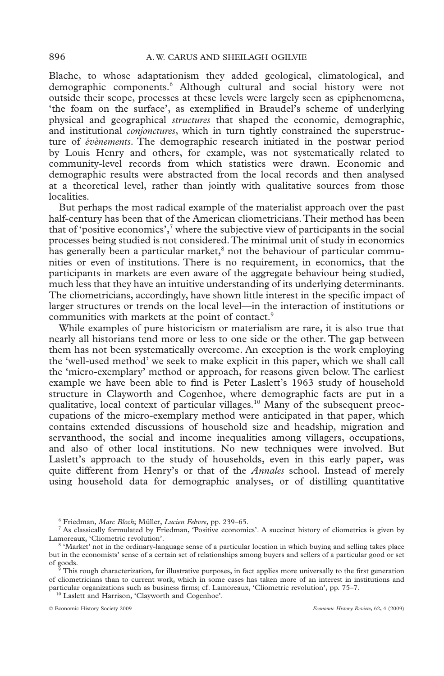Blache, to whose adaptationism they added geological, climatological, and demographic components.6 Although cultural and social history were not outside their scope, processes at these levels were largely seen as epiphenomena, 'the foam on the surface', as exemplified in Braudel's scheme of underlying physical and geographical *structures* that shaped the economic, demographic, and institutional *conjonctures*, which in turn tightly constrained the superstructure of *évènements*. The demographic research initiated in the postwar period by Louis Henry and others, for example, was not systematically related to community-level records from which statistics were drawn. Economic and demographic results were abstracted from the local records and then analysed at a theoretical level, rather than jointly with qualitative sources from those localities.

But perhaps the most radical example of the materialist approach over the past half-century has been that of the American cliometricians.Their method has been that of 'positive economics',7 where the subjective view of participants in the social processes being studied is not considered.The minimal unit of study in economics has generally been a particular market,<sup>8</sup> not the behaviour of particular communities or even of institutions. There is no requirement, in economics, that the participants in markets are even aware of the aggregate behaviour being studied, much less that they have an intuitive understanding of its underlying determinants. The cliometricians, accordingly, have shown little interest in the specific impact of larger structures or trends on the local level—in the interaction of institutions or communities with markets at the point of contact.<sup>9</sup>

While examples of pure historicism or materialism are rare, it is also true that nearly all historians tend more or less to one side or the other. The gap between them has not been systematically overcome. An exception is the work employing the 'well-used method' we seek to make explicit in this paper, which we shall call the 'micro-exemplary' method or approach, for reasons given below. The earliest example we have been able to find is Peter Laslett's 1963 study of household structure in Clayworth and Cogenhoe, where demographic facts are put in a qualitative, local context of particular villages.<sup>10</sup> Many of the subsequent preoccupations of the micro-exemplary method were anticipated in that paper, which contains extended discussions of household size and headship, migration and servanthood, the social and income inequalities among villagers, occupations, and also of other local institutions. No new techniques were involved. But Laslett's approach to the study of households, even in this early paper, was quite different from Henry's or that of the *Annales* school. Instead of merely using household data for demographic analyses, or of distilling quantitative

<sup>10</sup> Laslett and Harrison, 'Clayworth and Cogenhoe'.

<sup>6</sup> Friedman, *Marc Bloch*; Müller, *Lucien Febvre*, pp. 239–65.

<sup>7</sup> As classically formulated by Friedman, 'Positive economics'. A succinct history of cliometrics is given by Lamoreaux, 'Cliometric revolution'.

<sup>&</sup>lt;sup>8</sup> 'Market' not in the ordinary-language sense of a particular location in which buying and selling takes place but in the economists' sense of a certain set of relationships among buyers and sellers of a particular good or set of goods.

<sup>9</sup> This rough characterization, for illustrative purposes, in fact applies more universally to the first generation of cliometricians than to current work, which in some cases has taken more of an interest in institutions and particular organizations such as business firms; cf. Lamoreaux, 'Cliometric revolution', pp. 75–7.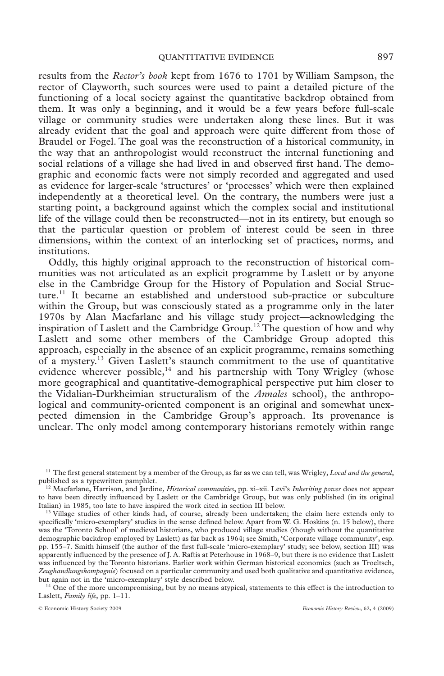results from the *Rector's book* kept from 1676 to 1701 by William Sampson, the rector of Clayworth, such sources were used to paint a detailed picture of the functioning of a local society against the quantitative backdrop obtained from them. It was only a beginning, and it would be a few years before full-scale village or community studies were undertaken along these lines. But it was already evident that the goal and approach were quite different from those of Braudel or Fogel. The goal was the reconstruction of a historical community, in the way that an anthropologist would reconstruct the internal functioning and social relations of a village she had lived in and observed first hand. The demographic and economic facts were not simply recorded and aggregated and used as evidence for larger-scale 'structures' or 'processes' which were then explained independently at a theoretical level. On the contrary, the numbers were just a starting point, a background against which the complex social and institutional life of the village could then be reconstructed—not in its entirety, but enough so that the particular question or problem of interest could be seen in three dimensions, within the context of an interlocking set of practices, norms, and institutions.

Oddly, this highly original approach to the reconstruction of historical communities was not articulated as an explicit programme by Laslett or by anyone else in the Cambridge Group for the History of Population and Social Structure.<sup>11</sup> It became an established and understood sub-practice or subculture within the Group, but was consciously stated as a programme only in the later 1970s by Alan Macfarlane and his village study project—acknowledging the inspiration of Laslett and the Cambridge Group.12 The question of how and why Laslett and some other members of the Cambridge Group adopted this approach, especially in the absence of an explicit programme, remains something of a mystery.13 Given Laslett's staunch commitment to the use of quantitative evidence wherever possible,<sup>14</sup> and his partnership with Tony Wrigley (whose more geographical and quantitative-demographical perspective put him closer to the Vidalian-Durkheimian structuralism of the *Annales* school), the anthropological and community-oriented component is an original and somewhat unexpected dimension in the Cambridge Group's approach. Its provenance is unclear. The only model among contemporary historians remotely within range

<sup>13</sup> Village studies of other kinds had, of course, already been undertaken; the claim here extends only to specifically 'micro-exemplary' studies in the sense defined below. Apart from W. G. Hoskins (n. 15 below), there was the 'Toronto School' of medieval historians, who produced village studies (though without the quantitative demographic backdrop employed by Laslett) as far back as 1964; see Smith, 'Corporate village community', esp. pp. 155–7. Smith himself (the author of the first full-scale 'micro-exemplary' study; see below, section III) was apparently influenced by the presence of J. A. Raftis at Peterhouse in 1968–9, but there is no evidence that Laslett was influenced by the Toronto historians. Earlier work within German historical economics (such as Troeltsch, *Zeughandlungskompagnie*) focused on a particular community and used both qualitative and quantitative evidence, but again not in the 'micro-exemplary' style described below.

<sup>14</sup> One of the more uncompromising, but by no means atypical, statements to this effect is the introduction to Laslett, *Family life*, pp. 1–11.

<sup>11</sup> The first general statement by a member of the Group, as far as we can tell, was Wrigley, *Local and the general*, published as a typewritten pamphlet.

<sup>12</sup> Macfarlane, Harrison, and Jardine, *Historical communities*, pp. xi–xii. Levi's *Inheriting power* does not appear to have been directly influenced by Laslett or the Cambridge Group, but was only published (in its original Italian) in 1985, too late to have inspired the work cited in section III below.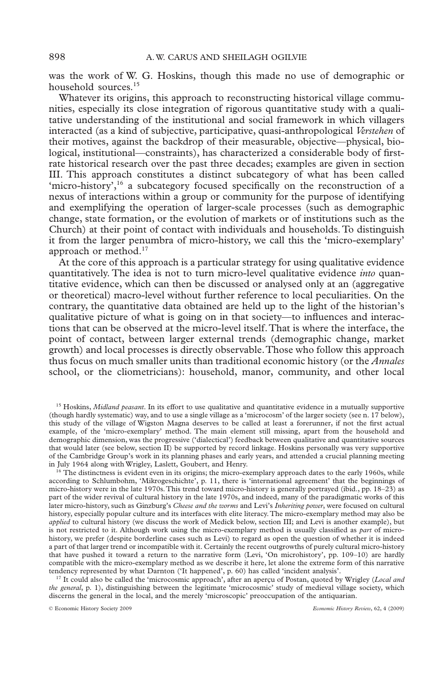was the work of W. G. Hoskins, though this made no use of demographic or household sources.<sup>15</sup>

Whatever its origins, this approach to reconstructing historical village communities, especially its close integration of rigorous quantitative study with a qualitative understanding of the institutional and social framework in which villagers interacted (as a kind of subjective, participative, quasi-anthropological *Verstehen* of their motives, against the backdrop of their measurable, objective—physical, biological, institutional—constraints), has characterized a considerable body of firstrate historical research over the past three decades; examples are given in section III. This approach constitutes a distinct subcategory of what has been called 'micro-history',16 a subcategory focused specifically on the reconstruction of a nexus of interactions within a group or community for the purpose of identifying and exemplifying the operation of larger-scale processes (such as demographic change, state formation, or the evolution of markets or of institutions such as the Church) at their point of contact with individuals and households. To distinguish it from the larger penumbra of micro-history, we call this the 'micro-exemplary' approach or method.<sup>17</sup>

At the core of this approach is a particular strategy for using qualitative evidence quantitatively. The idea is not to turn micro-level qualitative evidence *into* quantitative evidence, which can then be discussed or analysed only at an (aggregative or theoretical) macro-level without further reference to local peculiarities. On the contrary, the quantitative data obtained are held up to the light of the historian's qualitative picture of what is going on in that society—to influences and interactions that can be observed at the micro-level itself.That is where the interface, the point of contact, between larger external trends (demographic change, market growth) and local processes is directly observable.Those who follow this approach thus focus on much smaller units than traditional economic history (or the *Annales* school, or the cliometricians): household, manor, community, and other local

<sup>15</sup> Hoskins, *Midland peasant*. In its effort to use qualitative and quantitative evidence in a mutually supportive (though hardly systematic) way, and to use a single village as a 'microcosm' of the larger society (see n. 17 below), this study of the village of Wigston Magna deserves to be called at least a forerunner, if not the first actual example, of the 'micro-exemplary' method. The main element still missing, apart from the household and demographic dimension, was the progressive ('dialectical') feedback between qualitative and quantitative sources that would later (see below, section II) be supported by record linkage. Hoskins personally was very supportive of the Cambridge Group's work in its planning phases and early years, and attended a crucial planning meeting in July 1964 along with Wrigley, Laslett, Goubert, and Henry.

 $16$  The distinctness is evident even in its origins; the micro-exemplary approach dates to the early 1960s, while according to Schlumbohm, 'Mikrogeschichte', p. 11, there is 'international agreement' that the beginnings of micro-history were in the late 1970s.This trend toward micro-history is generally portrayed (ibid., pp. 18–23) as part of the wider revival of cultural history in the late 1970s, and indeed, many of the paradigmatic works of this later micro-history, such as Ginzburg's *Cheese and the worms* and Levi's *Inheriting power*, were focused on cultural history, especially popular culture and its interfaces with elite literacy.The micro-exemplary method may also be *applied* to cultural history (we discuss the work of Medick below, section III; and Levi is another example), but is not restricted to it. Although work using the micro-exemplary method is usually classified as *part* of microhistory, we prefer (despite borderline cases such as Levi) to regard as open the question of whether it is indeed a part of that larger trend or incompatible with it. Certainly the recent outgrowths of purely cultural micro-history that have pushed it toward a return to the narrative form (Levi, 'On microhistory', pp. 109–10) are hardly compatible with the micro-exemplary method as we describe it here, let alone the extreme form of this narrative tendency represented by what Darnton ('It happened', p. 60) has called 'incident analysis'.

<sup>17</sup> It could also be called the 'microcosmic approach', after an aperçu of Postan, quoted by Wrigley (*Local and the general*, p. 1), distinguishing between the legitimate 'microcosmic' study of medieval village society, which discerns the general in the local, and the merely 'microscopic' preoccupation of the antiquarian.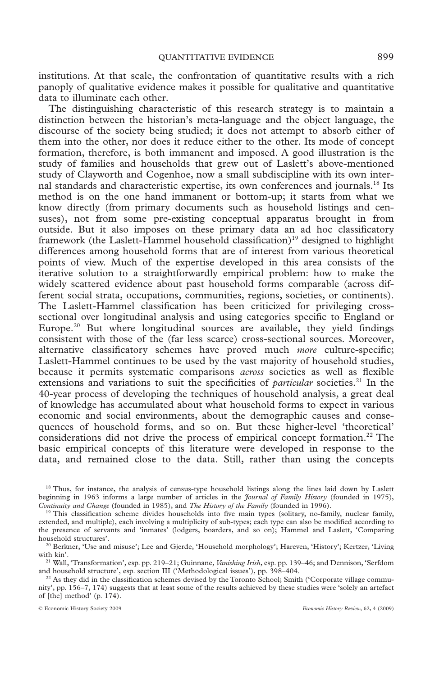institutions. At that scale, the confrontation of quantitative results with a rich panoply of qualitative evidence makes it possible for qualitative and quantitative data to illuminate each other.

The distinguishing characteristic of this research strategy is to maintain a distinction between the historian's meta-language and the object language, the discourse of the society being studied; it does not attempt to absorb either of them into the other, nor does it reduce either to the other. Its mode of concept formation, therefore, is both immanent and imposed. A good illustration is the study of families and households that grew out of Laslett's above-mentioned study of Clayworth and Cogenhoe, now a small subdiscipline with its own internal standards and characteristic expertise, its own conferences and journals.18 Its method is on the one hand immanent or bottom-up; it starts from what we know directly (from primary documents such as household listings and censuses), not from some pre-existing conceptual apparatus brought in from outside. But it also imposes on these primary data an ad hoc classificatory framework (the Laslett-Hammel household classification)<sup>19</sup> designed to highlight differences among household forms that are of interest from various theoretical points of view. Much of the expertise developed in this area consists of the iterative solution to a straightforwardly empirical problem: how to make the widely scattered evidence about past household forms comparable (across different social strata, occupations, communities, regions, societies, or continents). The Laslett-Hammel classification has been criticized for privileging crosssectional over longitudinal analysis and using categories specific to England or Europe.<sup>20</sup> But where longitudinal sources are available, they yield findings consistent with those of the (far less scarce) cross-sectional sources. Moreover, alternative classificatory schemes have proved much *more* culture-specific; Laslett-Hammel continues to be used by the vast majority of household studies, because it permits systematic comparisons *across* societies as well as flexible extensions and variations to suit the specificities of *particular* societies.<sup>21</sup> In the 40-year process of developing the techniques of household analysis, a great deal of knowledge has accumulated about what household forms to expect in various economic and social environments, about the demographic causes and consequences of household forms, and so on. But these higher-level 'theoretical' considerations did not drive the process of empirical concept formation.22 The basic empirical concepts of this literature were developed in response to the data, and remained close to the data. Still, rather than using the concepts

<sup>&</sup>lt;sup>18</sup> Thus, for instance, the analysis of census-type household listings along the lines laid down by Laslett beginning in 1963 informs a large number of articles in the *Journal of Family History* (founded in 1975), *Continuity and Change* (founded in 1985), and *The History of the Family* (founded in 1996).

 $19$  This classification scheme divides households into five main types (solitary, no-family, nuclear family, extended, and multiple), each involving a multiplicity of sub-types; each type can also be modified according to the presence of servants and 'inmates' (lodgers, boarders, and so on); Hammel and Laslett, 'Comparing household structures'.

<sup>&</sup>lt;sup>20</sup> Berkner, 'Use and misuse'; Lee and Gjerde, 'Household morphology'; Hareven, 'History'; Kertzer, 'Living with kin'.

<sup>21</sup> Wall, 'Transformation', esp. pp. 219–21; Guinnane, *Vanishing Irish*, esp. pp. 139–46; and Dennison, 'Serfdom and household structure', esp. section III ('Methodological issues'), pp. 398–404.

 $^{22}$  As they did in the classification schemes devised by the Toronto School; Smith ('Corporate village community', pp. 156–7, 174) suggests that at least some of the results achieved by these studies were 'solely an artefact of [the] method' (p. 174).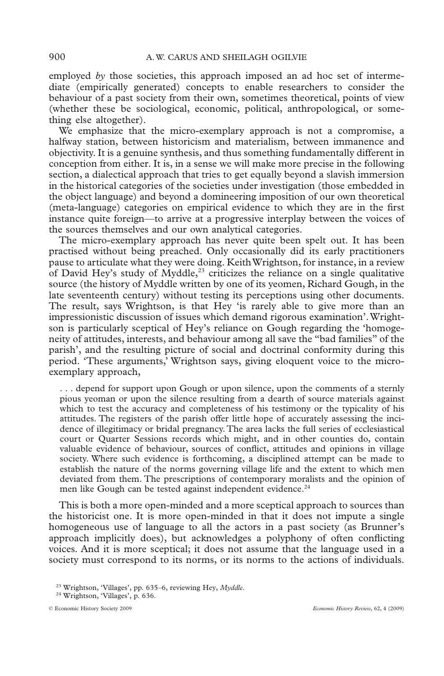employed *by* those societies, this approach imposed an ad hoc set of intermediate (empirically generated) concepts to enable researchers to consider the behaviour of a past society from their own, sometimes theoretical, points of view (whether these be sociological, economic, political, anthropological, or something else altogether).

We emphasize that the micro-exemplary approach is not a compromise, a halfway station, between historicism and materialism, between immanence and objectivity. It is a genuine synthesis, and thus something fundamentally different in conception from either. It is, in a sense we will make more precise in the following section, a dialectical approach that tries to get equally beyond a slavish immersion in the historical categories of the societies under investigation (those embedded in the object language) and beyond a domineering imposition of our own theoretical (meta-language) categories on empirical evidence to which they are in the first instance quite foreign—to arrive at a progressive interplay between the voices of the sources themselves and our own analytical categories.

The micro-exemplary approach has never quite been spelt out. It has been practised without being preached. Only occasionally did its early practitioners pause to articulate what they were doing. KeithWrightson, for instance, in a review of David Hey's study of Myddle,<sup>23</sup> criticizes the reliance on a single qualitative source (the history of Myddle written by one of its yeomen, Richard Gough, in the late seventeenth century) without testing its perceptions using other documents. The result, says Wrightson, is that Hey 'is rarely able to give more than an impressionistic discussion of issues which demand rigorous examination'.Wrightson is particularly sceptical of Hey's reliance on Gough regarding the 'homogeneity of attitudes, interests, and behaviour among all save the "bad families" of the parish', and the resulting picture of social and doctrinal conformity during this period. 'These arguments,' Wrightson says, giving eloquent voice to the microexemplary approach,

. . . depend for support upon Gough or upon silence, upon the comments of a sternly pious yeoman or upon the silence resulting from a dearth of source materials against which to test the accuracy and completeness of his testimony or the typicality of his attitudes. The registers of the parish offer little hope of accurately assessing the incidence of illegitimacy or bridal pregnancy. The area lacks the full series of ecclesiastical court or Quarter Sessions records which might, and in other counties do, contain valuable evidence of behaviour, sources of conflict, attitudes and opinions in village society. Where such evidence is forthcoming, a disciplined attempt can be made to establish the nature of the norms governing village life and the extent to which men deviated from them. The prescriptions of contemporary moralists and the opinion of men like Gough can be tested against independent evidence.<sup>24</sup>

This is both a more open-minded and a more sceptical approach to sources than the historicist one. It is more open-minded in that it does not impute a single homogeneous use of language to all the actors in a past society (as Brunner's approach implicitly does), but acknowledges a polyphony of often conflicting voices. And it is more sceptical; it does not assume that the language used in a society must correspond to its norms, or its norms to the actions of individuals.

<sup>23</sup> Wrightson, 'Villages', pp. 635–6, reviewing Hey, *Myddle*.

<sup>&</sup>lt;sup>24</sup> Wrightson, 'Villages', p. 636.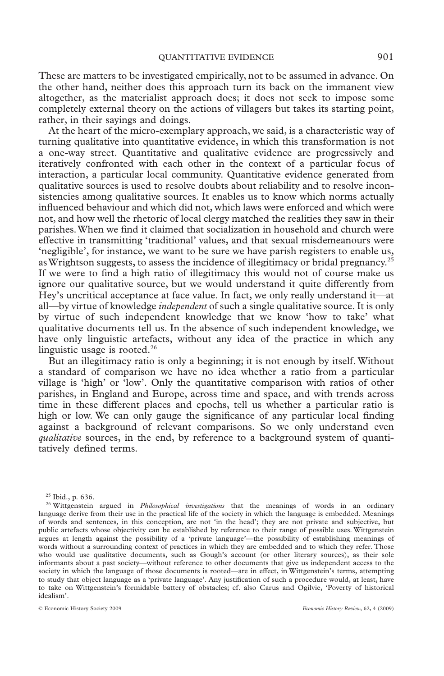These are matters to be investigated empirically, not to be assumed in advance. On the other hand, neither does this approach turn its back on the immanent view altogether, as the materialist approach does; it does not seek to impose some completely external theory on the actions of villagers but takes its starting point, rather, in their sayings and doings.

At the heart of the micro-exemplary approach, we said, is a characteristic way of turning qualitative into quantitative evidence, in which this transformation is not a one-way street. Quantitative and qualitative evidence are progressively and iteratively confronted with each other in the context of a particular focus of interaction, a particular local community. Quantitative evidence generated from qualitative sources is used to resolve doubts about reliability and to resolve inconsistencies among qualitative sources. It enables us to know which norms actually influenced behaviour and which did not, which laws were enforced and which were not, and how well the rhetoric of local clergy matched the realities they saw in their parishes.When we find it claimed that socialization in household and church were effective in transmitting 'traditional' values, and that sexual misdemeanours were 'negligible', for instance, we want to be sure we have parish registers to enable us, asWrightson suggests, to assess the incidence of illegitimacy or bridal pregnancy.25 If we were to find a high ratio of illegitimacy this would not of course make us ignore our qualitative source, but we would understand it quite differently from Hey's uncritical acceptance at face value. In fact, we only really understand it—at all—by virtue of knowledge *independent* of such a single qualitative source. It is only by virtue of such independent knowledge that we know 'how to take' what qualitative documents tell us. In the absence of such independent knowledge, we have only linguistic artefacts, without any idea of the practice in which any linguistic usage is rooted. $26$ 

But an illegitimacy ratio is only a beginning; it is not enough by itself.Without a standard of comparison we have no idea whether a ratio from a particular village is 'high' or 'low'. Only the quantitative comparison with ratios of other parishes, in England and Europe, across time and space, and with trends across time in these different places and epochs, tell us whether a particular ratio is high or low. We can only gauge the significance of any particular local finding against a background of relevant comparisons. So we only understand even *qualitative* sources, in the end, by reference to a background system of quantitatively defined terms.

<sup>25</sup> Ibid., p. 636.

<sup>26</sup> Wittgenstein argued in *Philosophical investigations* that the meanings of words in an ordinary language derive from their use in the practical life of the society in which the language is embedded. Meanings of words and sentences, in this conception, are not 'in the head'; they are not private and subjective, but public artefacts whose objectivity can be established by reference to their range of possible uses. Wittgenstein argues at length against the possibility of a 'private language'—the possibility of establishing meanings of words without a surrounding context of practices in which they are embedded and to which they refer. Those who would use qualitative documents, such as Gough's account (or other literary sources), as their sole informants about a past society—without reference to other documents that give us independent access to the society in which the language of those documents is rooted—are in effect, in Wittgenstein's terms, attempting to study that object language as a 'private language'. Any justification of such a procedure would, at least, have to take on Wittgenstein's formidable battery of obstacles; cf. also Carus and Ogilvie, 'Poverty of historical idealism'.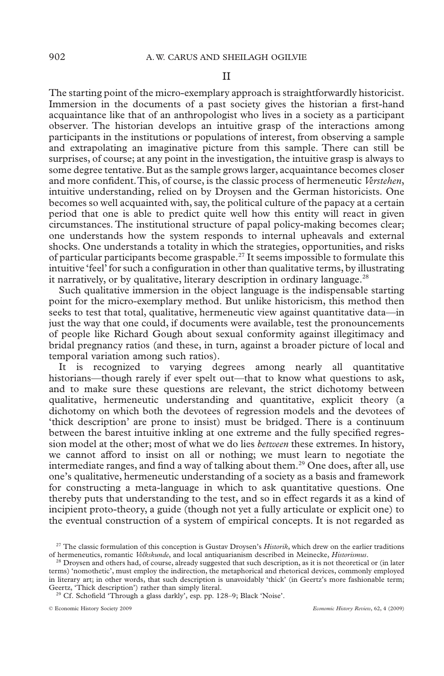The starting point of the micro-exemplary approach is straightforwardly historicist. Immersion in the documents of a past society gives the historian a first-hand acquaintance like that of an anthropologist who lives in a society as a participant observer. The historian develops an intuitive grasp of the interactions among participants in the institutions or populations of interest, from observing a sample and extrapolating an imaginative picture from this sample. There can still be surprises, of course; at any point in the investigation, the intuitive grasp is always to some degree tentative. But as the sample grows larger, acquaintance becomes closer and more confident.This, of course, is the classic process of hermeneutic *Verstehen*, intuitive understanding, relied on by Droysen and the German historicists. One becomes so well acquainted with, say, the political culture of the papacy at a certain period that one is able to predict quite well how this entity will react in given circumstances. The institutional structure of papal policy-making becomes clear; one understands how the system responds to internal upheavals and external shocks. One understands a totality in which the strategies, opportunities, and risks of particular participants become graspable.<sup>27</sup> It seems impossible to formulate this intuitive 'feel' for such a configuration in other than qualitative terms, by illustrating it narratively, or by qualitative, literary description in ordinary language.<sup>28</sup>

Such qualitative immersion in the object language is the indispensable starting point for the micro-exemplary method. But unlike historicism, this method then seeks to test that total, qualitative, hermeneutic view against quantitative data—in just the way that one could, if documents were available, test the pronouncements of people like Richard Gough about sexual conformity against illegitimacy and bridal pregnancy ratios (and these, in turn, against a broader picture of local and temporal variation among such ratios).

It is recognized to varying degrees among nearly all quantitative historians—though rarely if ever spelt out—that to know what questions to ask, and to make sure these questions are relevant, the strict dichotomy between qualitative, hermeneutic understanding and quantitative, explicit theory (a dichotomy on which both the devotees of regression models and the devotees of 'thick description' are prone to insist) must be bridged. There is a continuum between the barest intuitive inkling at one extreme and the fully specified regression model at the other; most of what we do lies *between* these extremes. In history, we cannot afford to insist on all or nothing; we must learn to negotiate the intermediate ranges, and find a way of talking about them.<sup>29</sup> One does, after all, use one's qualitative, hermeneutic understanding of a society as a basis and framework for constructing a meta-language in which to ask quantitative questions. One thereby puts that understanding to the test, and so in effect regards it as a kind of incipient proto-theory, a guide (though not yet a fully articulate or explicit one) to the eventual construction of a system of empirical concepts. It is not regarded as

<sup>&</sup>lt;sup>27</sup> The classic formulation of this conception is Gustav Droysen's *Historik*, which drew on the earlier traditions of hermeneutics, romantic *Volkskunde*, and local antiquarianism described in Meinecke, *Historismus*.

<sup>&</sup>lt;sup>28</sup> Droysen and others had, of course, already suggested that such description, as it is not theoretical or (in later terms) 'nomothetic', must employ the indirection, the metaphorical and rhetorical devices, commonly employed in literary art; in other words, that such description is unavoidably 'thick' (in Geertz's more fashionable term; Geertz, 'Thick description') rather than simply literal.

<sup>29</sup> Cf. Schofield 'Through a glass darkly', esp. pp. 128–9; Black 'Noise'.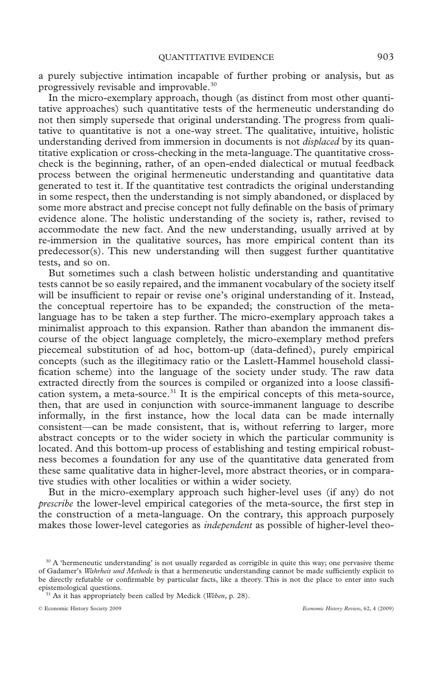a purely subjective intimation incapable of further probing or analysis, but as progressively revisable and improvable.30

In the micro-exemplary approach, though (as distinct from most other quantitative approaches) such quantitative tests of the hermeneutic understanding do not then simply supersede that original understanding. The progress from qualitative to quantitative is not a one-way street. The qualitative, intuitive, holistic understanding derived from immersion in documents is not *displaced* by its quantitative explication or cross-checking in the meta-language.The quantitative crosscheck is the beginning, rather, of an open-ended dialectical or mutual feedback process between the original hermeneutic understanding and quantitative data generated to test it. If the quantitative test contradicts the original understanding in some respect, then the understanding is not simply abandoned, or displaced by some more abstract and precise concept not fully definable on the basis of primary evidence alone. The holistic understanding of the society is, rather, revised to accommodate the new fact. And the new understanding, usually arrived at by re-immersion in the qualitative sources, has more empirical content than its predecessor(s). This new understanding will then suggest further quantitative tests, and so on.

But sometimes such a clash between holistic understanding and quantitative tests cannot be so easily repaired, and the immanent vocabulary of the society itself will be insufficient to repair or revise one's original understanding of it. Instead, the conceptual repertoire has to be expanded; the construction of the metalanguage has to be taken a step further. The micro-exemplary approach takes a minimalist approach to this expansion. Rather than abandon the immanent discourse of the object language completely, the micro-exemplary method prefers piecemeal substitution of ad hoc, bottom-up (data-defined), purely empirical concepts (such as the illegitimacy ratio or the Laslett-Hammel household classification scheme) into the language of the society under study. The raw data extracted directly from the sources is compiled or organized into a loose classification system, a meta-source.<sup>31</sup> It is the empirical concepts of this meta-source, then, that are used in conjunction with source-immanent language to describe informally, in the first instance, how the local data can be made internally consistent—can be made consistent, that is, without referring to larger, more abstract concepts or to the wider society in which the particular community is located. And this bottom-up process of establishing and testing empirical robustness becomes a foundation for any use of the quantitative data generated from these same qualitative data in higher-level, more abstract theories, or in comparative studies with other localities or within a wider society.

But in the micro-exemplary approach such higher-level uses (if any) do not *prescribe* the lower-level empirical categories of the meta-source, the first step in the construction of a meta-language. On the contrary, this approach purposely makes those lower-level categories as *independent* as possible of higher-level theo-

 $30$  A 'hermeneutic understanding' is not usually regarded as corrigible in quite this way; one pervasive theme of Gadamer's *Wahrheit und Methode* is that a hermeneutic understanding cannot be made sufficiently explicit to be directly refutable or confirmable by particular facts, like a theory. This is not the place to enter into such epistemological questions.

<sup>31</sup> As it has appropriately been called by Medick (*Weben*, p. 28).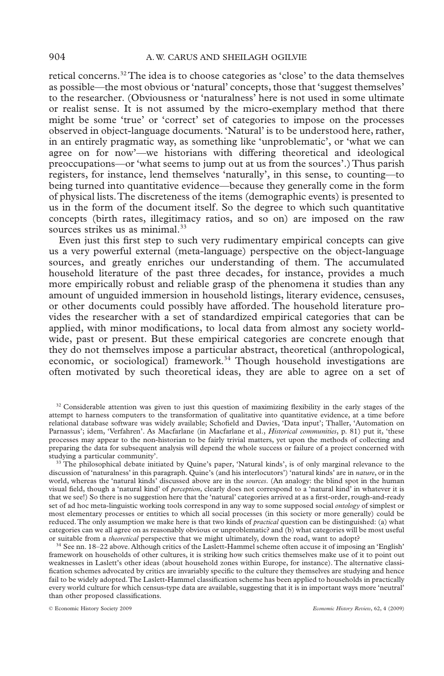retical concerns.32The idea is to choose categories as 'close' to the data themselves as possible—the most obvious or 'natural' concepts, those that 'suggest themselves' to the researcher. (Obviousness or 'naturalness' here is not used in some ultimate or realist sense. It is not assumed by the micro-exemplary method that there might be some 'true' or 'correct' set of categories to impose on the processes observed in object-language documents. 'Natural' is to be understood here, rather, in an entirely pragmatic way, as something like 'unproblematic', or 'what we can agree on for now'—we historians with differing theoretical and ideological preoccupations—or 'what seems to jump out at us from the sources'.) Thus parish registers, for instance, lend themselves 'naturally', in this sense, to counting—to being turned into quantitative evidence—because they generally come in the form of physical lists.The discreteness of the items (demographic events) is presented to us in the form of the document itself. So the degree to which such quantitative concepts (birth rates, illegitimacy ratios, and so on) are imposed on the raw sources strikes us as minimal.<sup>33</sup>

Even just this first step to such very rudimentary empirical concepts can give us a very powerful external (meta-language) perspective on the object-language sources, and greatly enriches our understanding of them. The accumulated household literature of the past three decades, for instance, provides a much more empirically robust and reliable grasp of the phenomena it studies than any amount of unguided immersion in household listings, literary evidence, censuses, or other documents could possibly have afforded. The household literature provides the researcher with a set of standardized empirical categories that can be applied, with minor modifications, to local data from almost any society worldwide, past or present. But these empirical categories are concrete enough that they do not themselves impose a particular abstract, theoretical (anthropological, economic, or sociological) framework.<sup>34</sup> Though household investigations are often motivated by such theoretical ideas, they are able to agree on a set of

 $32$  Considerable attention was given to just this question of maximizing flexibility in the early stages of the attempt to harness computers to the transformation of qualitative into quantitative evidence, at a time before relational database software was widely available; Schofield and Davies, 'Data input'; Thaller, 'Automation on Parnassus'; idem, 'Verfahren'. As Macfarlane (in Macfarlane et al., *Historical communities*, p. 81) put it, 'these processes may appear to the non-historian to be fairly trivial matters, yet upon the methods of collecting and preparing the data for subsequent analysis will depend the whole success or failure of a project concerned with studying a particular community'.

<sup>33</sup> The philosophical debate initiated by Quine's paper, 'Natural kinds', is of only marginal relevance to the discussion of 'naturalness' in this paragraph. Quine's (and his interlocutors') 'natural kinds' are in *nature*, or in the world, whereas the 'natural kinds' discussed above are in the *sources*. (An analogy: the blind spot in the human visual field, though a 'natural kind' of *perception*, clearly does not correspond to a 'natural kind' in whatever it is that we see!) So there is no suggestion here that the 'natural' categories arrived at as a first-order, rough-and-ready set of ad hoc meta-linguistic working tools correspond in any way to some supposed social *ontology* of simplest or most elementary processes or entities to which all social processes (in this society or more generally) could be reduced.The only assumption we make here is that two kinds of *practical* question can be distinguished: (a) what categories can we all agree on as reasonably obvious or unproblematic? and (b) what categories will be most useful or suitable from a *theoretical* perspective that we might ultimately, down the road, want to adopt?

<sup>34</sup> See nn. 18–22 above. Although critics of the Laslett-Hammel scheme often accuse it of imposing an 'English' framework on households of other cultures, it is striking how such critics themselves make use of it to point out weaknesses in Laslett's other ideas (about household zones within Europe, for instance). The alternative classification schemes advocated by critics are invariably specific to the culture they themselves are studying and hence fail to be widely adopted.The Laslett-Hammel classification scheme has been applied to households in practically every world culture for which census-type data are available, suggesting that it is in important ways more 'neutral' than other proposed classifications.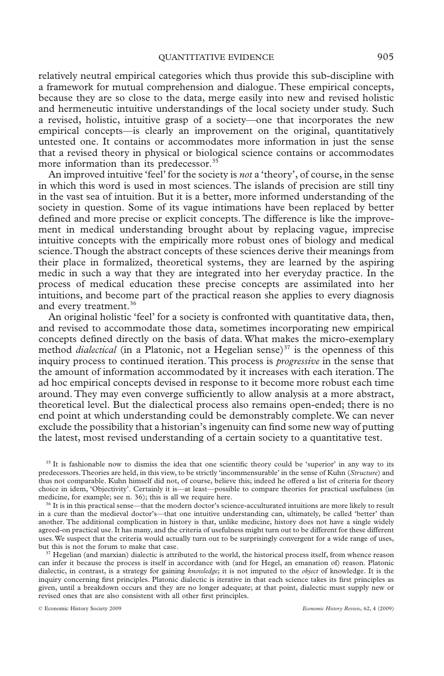relatively neutral empirical categories which thus provide this sub-discipline with a framework for mutual comprehension and dialogue. These empirical concepts, because they are so close to the data, merge easily into new and revised holistic and hermeneutic intuitive understandings of the local society under study. Such a revised, holistic, intuitive grasp of a society—one that incorporates the new empirical concepts—is clearly an improvement on the original, quantitatively untested one. It contains or accommodates more information in just the sense that a revised theory in physical or biological science contains or accommodates more information than its predecessor.<sup>35</sup>

An improved intuitive 'feel' for the society is *not* a 'theory', of course, in the sense in which this word is used in most sciences. The islands of precision are still tiny in the vast sea of intuition. But it is a better, more informed understanding of the society in question. Some of its vague intimations have been replaced by better defined and more precise or explicit concepts. The difference is like the improvement in medical understanding brought about by replacing vague, imprecise intuitive concepts with the empirically more robust ones of biology and medical science.Though the abstract concepts of these sciences derive their meanings from their place in formalized, theoretical systems, they are learned by the aspiring medic in such a way that they are integrated into her everyday practice. In the process of medical education these precise concepts are assimilated into her intuitions, and become part of the practical reason she applies to every diagnosis and every treatment.<sup>36</sup>

An original holistic 'feel' for a society is confronted with quantitative data, then, and revised to accommodate those data, sometimes incorporating new empirical concepts defined directly on the basis of data. What makes the micro-exemplary method *dialectical* (in a Platonic, not a Hegelian sense)<sup>37</sup> is the openness of this inquiry process to continued iteration. This process is *progressive* in the sense that the amount of information accommodated by it increases with each iteration.The ad hoc empirical concepts devised in response to it become more robust each time around. They may even converge sufficiently to allow analysis at a more abstract, theoretical level. But the dialectical process also remains open-ended; there is no end point at which understanding could be demonstrably complete.We can never exclude the possibility that a historian's ingenuity can find some new way of putting the latest, most revised understanding of a certain society to a quantitative test.

<sup>35</sup> It is fashionable now to dismiss the idea that one scientific theory could be 'superior' in any way to its predecessors.Theories are held, in this view, to be strictly 'incommensurable' in the sense of Kuhn (*Structure*) and thus not comparable. Kuhn himself did not, of course, believe this; indeed he offered a list of criteria for theory choice in idem, 'Objectivity'. Certainly it is—at least—possible to compare theories for practical usefulness (in medicine, for example; see n. 36); this is all we require here.

<sup>36</sup> It is in this practical sense—that the modern doctor's science-acculturated intuitions are more likely to result in a cure than the medieval doctor's—that one intuitive understanding can, ultimately, be called 'better' than another. The additional complication in history is that, unlike medicine, history does not have a single widely agreed-on practical use. It has many, and the criteria of usefulness might turn out to be different for these different uses.We suspect that the criteria would actually turn out to be surprisingly convergent for a wide range of uses, but this is not the forum to make that case.

 $37$  Hegelian (and marxian) dialectic is attributed to the world, the historical process itself, from whence reason can infer it because the process is itself in accordance with (and for Hegel, an emanation of) reason. Platonic dialectic, in contrast, is a strategy for gaining *knowledge*; it is not imputed to the *object* of knowledge. It is the inquiry concerning first principles. Platonic dialectic is iterative in that each science takes its first principles as given, until a breakdown occurs and they are no longer adequate; at that point, dialectic must supply new or revised ones that are also consistent with all other first principles.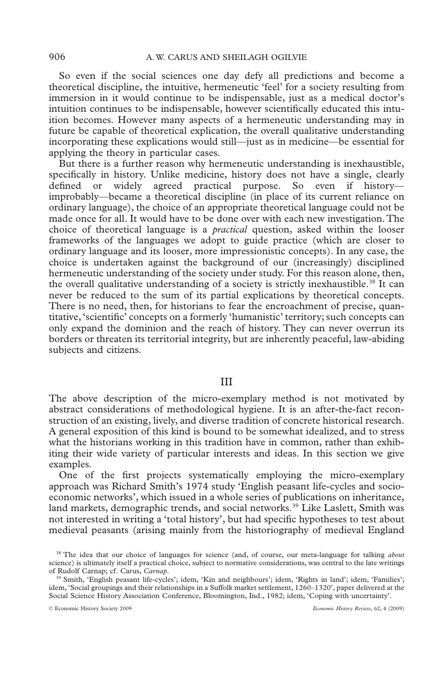So even if the social sciences one day defy all predictions and become a theoretical discipline, the intuitive, hermeneutic 'feel' for a society resulting from immersion in it would continue to be indispensable, just as a medical doctor's intuition continues to be indispensable, however scientifically educated this intuition becomes. However many aspects of a hermeneutic understanding may in future be capable of theoretical explication, the overall qualitative understanding incorporating these explications would still—just as in medicine—be essential for applying the theory in particular cases.

But there is a further reason why hermeneutic understanding is inexhaustible, specifically in history. Unlike medicine, history does not have a single, clearly defined or widely agreed practical purpose. So even if history improbably—became a theoretical discipline (in place of its current reliance on ordinary language), the choice of an appropriate theoretical language could not be made once for all. It would have to be done over with each new investigation.The choice of theoretical language is a *practical* question, asked within the looser frameworks of the languages we adopt to guide practice (which are closer to ordinary language and its looser, more impressionistic concepts). In any case, the choice is undertaken against the background of our (increasingly) disciplined hermeneutic understanding of the society under study. For this reason alone, then, the overall qualitative understanding of a society is strictly inexhaustible.<sup>38</sup> It can never be reduced to the sum of its partial explications by theoretical concepts. There is no need, then, for historians to fear the encroachment of precise, quantitative,'scientific' concepts on a formerly 'humanistic' territory; such concepts can only expand the dominion and the reach of history. They can never overrun its borders or threaten its territorial integrity, but are inherently peaceful, law-abiding subjects and citizens.

### III

The above description of the micro-exemplary method is not motivated by abstract considerations of methodological hygiene. It is an after-the-fact reconstruction of an existing, lively, and diverse tradition of concrete historical research. A general exposition of this kind is bound to be somewhat idealized, and to stress what the historians working in this tradition have in common, rather than exhibiting their wide variety of particular interests and ideas. In this section we give examples.

One of the first projects systematically employing the micro-exemplary approach was Richard Smith's 1974 study 'English peasant life-cycles and socioeconomic networks', which issued in a whole series of publications on inheritance, land markets, demographic trends, and social networks.<sup>39</sup> Like Laslett, Smith was not interested in writing a 'total history', but had specific hypotheses to test about medieval peasants (arising mainly from the historiography of medieval England

<sup>38</sup> The idea that our choice of languages for science (and, of course, our meta-language for talking *about* science) is ultimately itself a practical choice, subject to normative considerations, was central to the late writings of Rudolf Carnap; cf. Carus, *Carnap*.

<sup>39</sup> Smith, 'English peasant life-cycles'; idem, 'Kin and neighbours'; idem, 'Rights in land'; idem, 'Families'; idem, 'Social groupings and their relationships in a Suffolk market settlement, 1260–1320', paper delivered at the Social Science History Association Conference, Bloomington, Ind., 1982; idem, 'Coping with uncertainty'.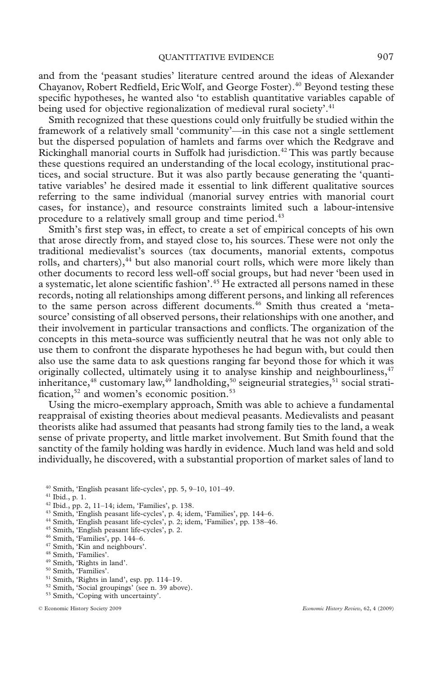and from the 'peasant studies' literature centred around the ideas of Alexander Chayanov, Robert Redfield, EricWolf, and George Foster).40 Beyond testing these specific hypotheses, he wanted also 'to establish quantitative variables capable of being used for objective regionalization of medieval rural society'.<sup>41</sup>

Smith recognized that these questions could only fruitfully be studied within the framework of a relatively small 'community'—in this case not a single settlement but the dispersed population of hamlets and farms over which the Redgrave and Rickinghall manorial courts in Suffolk had jurisdiction.<sup>42</sup> This was partly because these questions required an understanding of the local ecology, institutional practices, and social structure. But it was also partly because generating the 'quantitative variables' he desired made it essential to link different qualitative sources referring to the same individual (manorial survey entries with manorial court cases, for instance), and resource constraints limited such a labour-intensive procedure to a relatively small group and time period.<sup>43</sup>

Smith's first step was, in effect, to create a set of empirical concepts of his own that arose directly from, and stayed close to, his sources. These were not only the traditional medievalist's sources (tax documents, manorial extents, compotus rolls, and charters),<sup>44</sup> but also manorial court rolls, which were more likely than other documents to record less well-off social groups, but had never 'been used in a systematic, let alone scientific fashion'.45 He extracted all persons named in these records, noting all relationships among different persons, and linking all references to the same person across different documents.<sup>46</sup> Smith thus created a 'metasource' consisting of all observed persons, their relationships with one another, and their involvement in particular transactions and conflicts. The organization of the concepts in this meta-source was sufficiently neutral that he was not only able to use them to confront the disparate hypotheses he had begun with, but could then also use the same data to ask questions ranging far beyond those for which it was originally collected, ultimately using it to analyse kinship and neighbourliness,<sup>47</sup> inheritance, $^{48}$  customary law, $^{49}$  landholding, $^{50}$  seigneurial strategies, $^{51}$  social stratification, $52$  and women's economic position. $53$ 

Using the micro-exemplary approach, Smith was able to achieve a fundamental reappraisal of existing theories about medieval peasants. Medievalists and peasant theorists alike had assumed that peasants had strong family ties to the land, a weak sense of private property, and little market involvement. But Smith found that the sanctity of the family holding was hardly in evidence. Much land was held and sold individually, he discovered, with a substantial proportion of market sales of land to

<sup>40</sup> Smith, 'English peasant life-cycles', pp. 5, 9–10, 101–49.

<sup>49</sup> Smith, 'Rights in land'.

<sup>51</sup> Smith, 'Rights in land', esp. pp. 114–19.

© Economic History Society 2009 *Economic History Review*, 62, 4 (2009)

<sup>41</sup> Ibid., p. 1.

<sup>42</sup> Ibid., pp. 2, 11–14; idem, 'Families', p. 138.

<sup>43</sup> Smith, 'English peasant life-cycles', p. 4; idem, 'Families', pp. 144–6.

<sup>&</sup>lt;sup>44</sup> Smith, 'English peasant life-cycles', p. 2; idem, 'Families', pp. 138-46.

<sup>45</sup> Smith, 'English peasant life-cycles', p. 2.

<sup>46</sup> Smith, 'Families', pp. 144–6.

<sup>47</sup> Smith, 'Kin and neighbours'.

<sup>48</sup> Smith, 'Families'.

<sup>50</sup> Smith, 'Families'.

<sup>52</sup> Smith, 'Social groupings' (see n. 39 above).

<sup>53</sup> Smith, 'Coping with uncertainty'.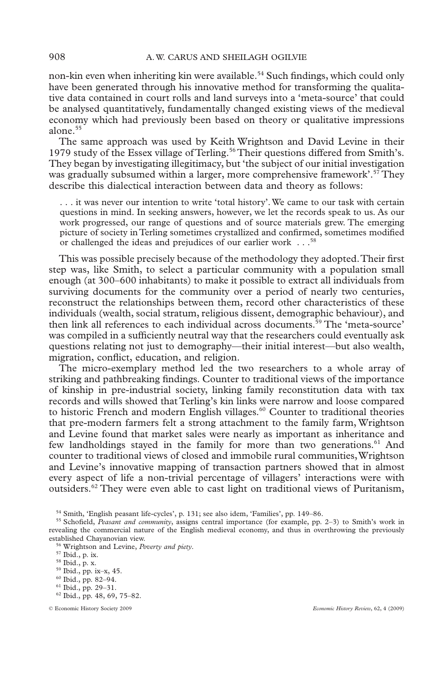non-kin even when inheriting kin were available.<sup>54</sup> Such findings, which could only have been generated through his innovative method for transforming the qualitative data contained in court rolls and land surveys into a 'meta-source' that could be analysed quantitatively, fundamentally changed existing views of the medieval economy which had previously been based on theory or qualitative impressions alone.<sup>55</sup>

The same approach was used by Keith Wrightson and David Levine in their 1979 study of the Essex village of Terling.<sup>56</sup> Their questions differed from Smith's. They began by investigating illegitimacy, but 'the subject of our initial investigation was gradually subsumed within a larger, more comprehensive framework'.<sup>57</sup> They describe this dialectical interaction between data and theory as follows:

. . . it was never our intention to write 'total history'.We came to our task with certain questions in mind. In seeking answers, however, we let the records speak to us. As our work progressed, our range of questions and of source materials grew. The emerging picture of society in Terling sometimes crystallized and confirmed, sometimes modified or challenged the ideas and prejudices of our earlier work . . .<sup>58</sup>

This was possible precisely because of the methodology they adopted.Their first step was, like Smith, to select a particular community with a population small enough (at 300–600 inhabitants) to make it possible to extract all individuals from surviving documents for the community over a period of nearly two centuries, reconstruct the relationships between them, record other characteristics of these individuals (wealth, social stratum, religious dissent, demographic behaviour), and then link all references to each individual across documents.<sup>59</sup> The 'meta-source' was compiled in a sufficiently neutral way that the researchers could eventually ask questions relating not just to demography—their initial interest—but also wealth, migration, conflict, education, and religion.

The micro-exemplary method led the two researchers to a whole array of striking and pathbreaking findings. Counter to traditional views of the importance of kinship in pre-industrial society, linking family reconstitution data with tax records and wills showed that Terling's kin links were narrow and loose compared to historic French and modern English villages.<sup>60</sup> Counter to traditional theories that pre-modern farmers felt a strong attachment to the family farm, Wrightson and Levine found that market sales were nearly as important as inheritance and few landholdings stayed in the family for more than two generations.<sup>61</sup> And counter to traditional views of closed and immobile rural communities,Wrightson and Levine's innovative mapping of transaction partners showed that in almost every aspect of life a non-trivial percentage of villagers' interactions were with outsiders.62 They were even able to cast light on traditional views of Puritanism,

<sup>54</sup> Smith, 'English peasant life-cycles', p. 131; see also idem, 'Families', pp. 149–86.

<sup>55</sup> Schofield, *Peasant and community*, assigns central importance (for example, pp. 2–3) to Smith's work in revealing the commercial nature of the English medieval economy, and thus in overthrowing the previously established Chayanovian view.

<sup>56</sup> Wrightson and Levine, *Poverty and piety*.

<sup>57</sup> Ibid., p. ix.

<sup>58</sup> Ibid., p. x.

<sup>60</sup> Ibid., pp. 82–94.

<sup>61</sup> Ibid., pp. 29–31.

<sup>62</sup> Ibid., pp. 48, 69, 75–82.

<sup>59</sup> Ibid., pp. ix–x, 45.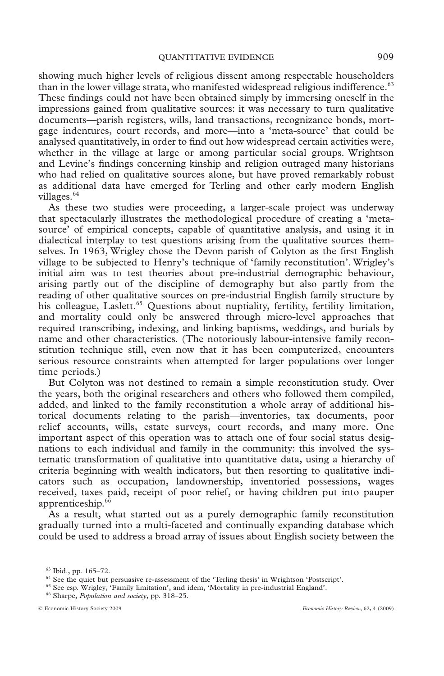showing much higher levels of religious dissent among respectable householders than in the lower village strata, who manifested widespread religious indifference. $^{63}$ These findings could not have been obtained simply by immersing oneself in the impressions gained from qualitative sources: it was necessary to turn qualitative documents—parish registers, wills, land transactions, recognizance bonds, mortgage indentures, court records, and more—into a 'meta-source' that could be analysed quantitatively, in order to find out how widespread certain activities were, whether in the village at large or among particular social groups. Wrightson and Levine's findings concerning kinship and religion outraged many historians who had relied on qualitative sources alone, but have proved remarkably robust as additional data have emerged for Terling and other early modern English villages.<sup>64</sup>

As these two studies were proceeding, a larger-scale project was underway that spectacularly illustrates the methodological procedure of creating a 'metasource' of empirical concepts, capable of quantitative analysis, and using it in dialectical interplay to test questions arising from the qualitative sources themselves. In 1963, Wrigley chose the Devon parish of Colyton as the first English village to be subjected to Henry's technique of 'family reconstitution'. Wrigley's initial aim was to test theories about pre-industrial demographic behaviour, arising partly out of the discipline of demography but also partly from the reading of other qualitative sources on pre-industrial English family structure by his colleague, Laslett.<sup>65</sup> Questions about nuptiality, fertility, fertility limitation, and mortality could only be answered through micro-level approaches that required transcribing, indexing, and linking baptisms, weddings, and burials by name and other characteristics. (The notoriously labour-intensive family reconstitution technique still, even now that it has been computerized, encounters serious resource constraints when attempted for larger populations over longer time periods.)

But Colyton was not destined to remain a simple reconstitution study. Over the years, both the original researchers and others who followed them compiled, added, and linked to the family reconstitution a whole array of additional historical documents relating to the parish—inventories, tax documents, poor relief accounts, wills, estate surveys, court records, and many more. One important aspect of this operation was to attach one of four social status designations to each individual and family in the community: this involved the systematic transformation of qualitative into quantitative data, using a hierarchy of criteria beginning with wealth indicators, but then resorting to qualitative indicators such as occupation, landownership, inventoried possessions, wages received, taxes paid, receipt of poor relief, or having children put into pauper apprenticeship.<sup>66</sup>

As a result, what started out as a purely demographic family reconstitution gradually turned into a multi-faceted and continually expanding database which could be used to address a broad array of issues about English society between the

<sup>63</sup> Ibid., pp. 165–72.

<sup>64</sup> See the quiet but persuasive re-assessment of the 'Terling thesis' in Wrightson 'Postscript'.

<sup>65</sup> See esp. Wrigley, 'Family limitation', and idem, 'Mortality in pre-industrial England'.

<sup>66</sup> Sharpe, *Population and society*, pp. 318–25.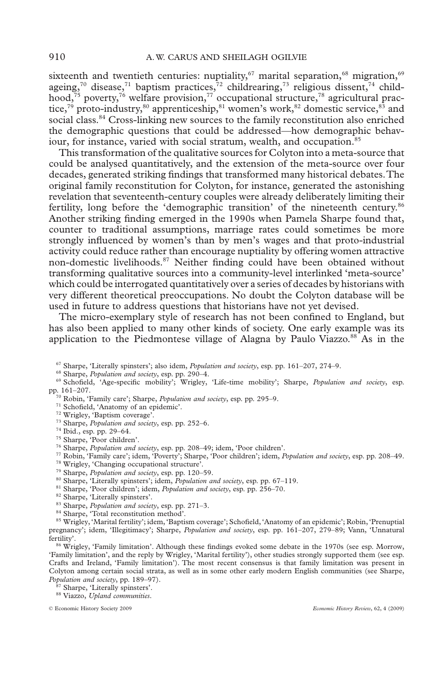sixteenth and twentieth centuries: nuptiality,<sup>67</sup> marital separation,<sup>68</sup> migration,<sup>69</sup> ageing,<sup>70</sup> disease,<sup>71</sup> baptism practices,<sup>72</sup> childrearing,<sup>73</sup> religious dissent,<sup>74</sup> child $hood$ ,<sup>75</sup> poverty,<sup>76</sup> welfare provision,<sup>77</sup> occupational structure,<sup>78</sup> agricultural practice,<sup>79</sup> proto-industry,<sup>80</sup> apprenticeship,<sup>81</sup> women's work,<sup>82</sup> domestic service,<sup>83</sup> and social class.84 Cross-linking new sources to the family reconstitution also enriched the demographic questions that could be addressed—how demographic behaviour, for instance, varied with social stratum, wealth, and occupation.<sup>85</sup>

This transformation of the qualitative sources for Colyton into a meta-source that could be analysed quantitatively, and the extension of the meta-source over four decades, generated striking findings that transformed many historical debates.The original family reconstitution for Colyton, for instance, generated the astonishing revelation that seventeenth-century couples were already deliberately limiting their fertility, long before the 'demographic transition' of the nineteenth century.<sup>86</sup> Another striking finding emerged in the 1990s when Pamela Sharpe found that, counter to traditional assumptions, marriage rates could sometimes be more strongly influenced by women's than by men's wages and that proto-industrial activity could reduce rather than encourage nuptiality by offering women attractive non-domestic livelihoods.<sup>87</sup> Neither finding could have been obtained without transforming qualitative sources into a community-level interlinked 'meta-source' which could be interrogated quantitatively over a series of decades by historians with very different theoretical preoccupations. No doubt the Colyton database will be used in future to address questions that historians have not yet devised.

The micro-exemplary style of research has not been confined to England, but has also been applied to many other kinds of society. One early example was its application to the Piedmontese village of Alagna by Paulo Viazzo.<sup>88</sup> As in the

<sup>69</sup> Schofield, 'Age-specific mobility'; Wrigley, 'Life-time mobility'; Sharpe, *Population and society*, esp. pp. 161–207.

- <sup>70</sup> Robin, 'Family care'; Sharpe, *Population and society*, esp. pp. 295–9.
- <sup>71</sup> Schofield, 'Anatomy of an epidemic'.
- <sup>72</sup> Wrigley, 'Baptism coverage'.
- <sup>73</sup> Sharpe, *Population and society*, esp. pp. 252–6.
- <sup>74</sup> Ibid., esp. pp. 29–64.
- <sup>75</sup> Sharpe, 'Poor children'.
- <sup>76</sup> Sharpe, *Population and society*, esp. pp. 208–49; idem, 'Poor children'.
- <sup>77</sup> Robin, 'Family care'; idem, 'Poverty'; Sharpe, 'Poor children'; idem, *Population and society*, esp. pp. 208–49.
- <sup>78</sup> Wrigley, 'Changing occupational structure'.
- <sup>79</sup> Sharpe, *Population and society*, esp. pp. 120–59.
- <sup>80</sup> Sharpe, 'Literally spinsters'; idem, *Population and society*, esp. pp. 67–119.
- <sup>81</sup> Sharpe, 'Poor children'; idem, *Population and society*, esp. pp. 256–70.
- 82 Sharpe, 'Literally spinsters'.
- <sup>83</sup> Sharpe, *Population and society*, esp. pp. 271–3.
- 84 Sharpe, 'Total reconstitution method'.

<sup>85</sup> Wrigley,'Marital fertility'; idem,'Baptism coverage'; Schofield,'Anatomy of an epidemic'; Robin,'Prenuptial pregnancy'; idem, 'Illegitimacy'; Sharpe, *Population and society*, esp. pp. 161–207, 279–89; Vann, 'Unnatural fertility'.

<sup>86</sup> Wrigley, 'Family limitation'. Although these findings evoked some debate in the 1970s (see esp. Morrow, 'Family limitation', and the reply by Wrigley, 'Marital fertility'), other studies strongly supported them (see esp. Crafts and Ireland, 'Family limitation'). The most recent consensus is that family limitation was present in Colyton among certain social strata, as well as in some other early modern English communities (see Sharpe, *Population and society*, pp. 189–97).

<sup>87</sup> Sharpe, 'Literally spinsters'.

<sup>88</sup> Viazzo, *Upland communities*.

<sup>67</sup> Sharpe, 'Literally spinsters'; also idem, *Population and society*, esp. pp. 161–207, 274–9.

<sup>68</sup> Sharpe, *Population and society*, esp. pp. 290–4.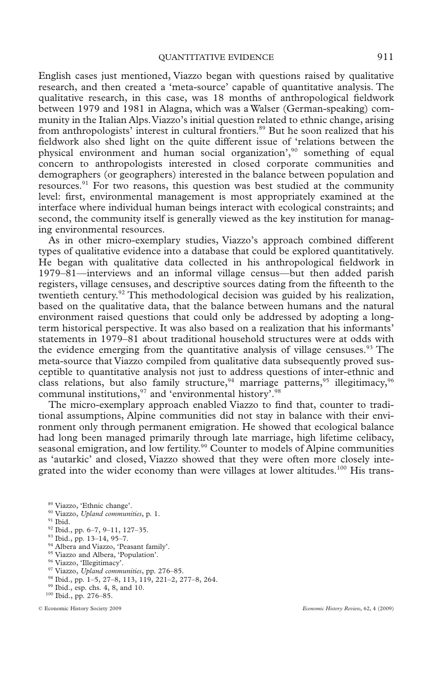English cases just mentioned, Viazzo began with questions raised by qualitative research, and then created a 'meta-source' capable of quantitative analysis. The qualitative research, in this case, was 18 months of anthropological fieldwork between 1979 and 1981 in Alagna, which was a Walser (German-speaking) community in the Italian Alps.Viazzo's initial question related to ethnic change, arising from anthropologists' interest in cultural frontiers.<sup>89</sup> But he soon realized that his fieldwork also shed light on the quite different issue of 'relations between the physical environment and human social organization',<sup>90</sup> something of equal concern to anthropologists interested in closed corporate communities and demographers (or geographers) interested in the balance between population and resources.91 For two reasons, this question was best studied at the community level: first, environmental management is most appropriately examined at the interface where individual human beings interact with ecological constraints; and second, the community itself is generally viewed as the key institution for managing environmental resources.

As in other micro-exemplary studies, Viazzo's approach combined different types of qualitative evidence into a database that could be explored quantitatively. He began with qualitative data collected in his anthropological fieldwork in 1979–81—interviews and an informal village census—but then added parish registers, village censuses, and descriptive sources dating from the fifteenth to the twentieth century.<sup>92</sup> This methodological decision was guided by his realization, based on the qualitative data, that the balance between humans and the natural environment raised questions that could only be addressed by adopting a longterm historical perspective. It was also based on a realization that his informants' statements in 1979–81 about traditional household structures were at odds with the evidence emerging from the quantitative analysis of village censuses.<sup>93</sup> The meta-source that Viazzo compiled from qualitative data subsequently proved susceptible to quantitative analysis not just to address questions of inter-ethnic and class relations, but also family structure,  $94$  marriage patterns,  $95$  illegitimacy,  $96$ communal institutions,<sup>97</sup> and 'environmental history'.<sup>98</sup>

The micro-exemplary approach enabled Viazzo to find that, counter to traditional assumptions, Alpine communities did not stay in balance with their environment only through permanent emigration. He showed that ecological balance had long been managed primarily through late marriage, high lifetime celibacy, seasonal emigration, and low fertility.<sup>99</sup> Counter to models of Alpine communities as 'autarkic' and closed, Viazzo showed that they were often more closely integrated into the wider economy than were villages at lower altitudes.<sup>100</sup> His trans-

- <sup>90</sup> Viazzo, *Upland communities*, p. 1.
- $^{91}$  Ibid.
- <sup>92</sup> Ibid., pp. 6–7, 9–11, 127–35.
- <sup>93</sup> Ibid., pp. 13–14, 95–7.
- <sup>94</sup> Albera and Viazzo, 'Peasant family'.
- <sup>95</sup> Viazzo and Albera, 'Population'.
- <sup>96</sup> Viazzo, 'Illegitimacy'.
- <sup>97</sup> Viazzo, *Upland communities*, pp. 276–85.
- <sup>98</sup> Ibid., pp. 1–5, 27–8, 113, 119, 221–2, 277–8, 264.
- <sup>99</sup> Ibid., esp. chs. 4, 8, and 10.
- <sup>100</sup> Ibid., pp. 276–85.

<sup>89</sup> Viazzo, 'Ethnic change'.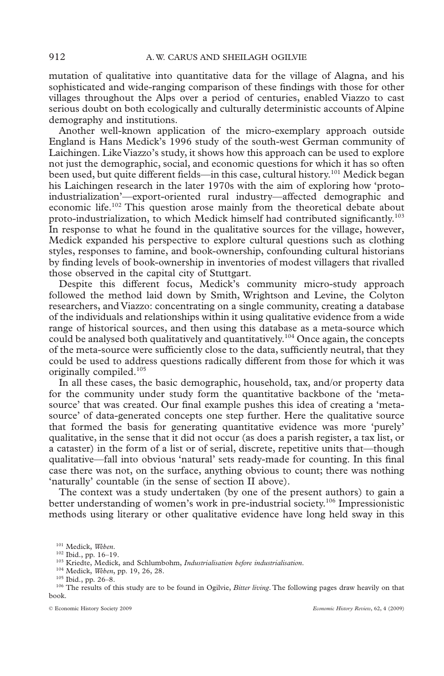mutation of qualitative into quantitative data for the village of Alagna, and his sophisticated and wide-ranging comparison of these findings with those for other villages throughout the Alps over a period of centuries, enabled Viazzo to cast serious doubt on both ecologically and culturally deterministic accounts of Alpine demography and institutions.

Another well-known application of the micro-exemplary approach outside England is Hans Medick's 1996 study of the south-west German community of Laichingen. LikeViazzo's study, it shows how this approach can be used to explore not just the demographic, social, and economic questions for which it has so often been used, but quite different fields—in this case, cultural history.<sup>101</sup> Medick began his Laichingen research in the later 1970s with the aim of exploring how 'protoindustrialization'—export-oriented rural industry—affected demographic and economic life.102 This question arose mainly from the theoretical debate about proto-industrialization, to which Medick himself had contributed significantly.103 In response to what he found in the qualitative sources for the village, however, Medick expanded his perspective to explore cultural questions such as clothing styles, responses to famine, and book-ownership, confounding cultural historians by finding levels of book-ownership in inventories of modest villagers that rivalled those observed in the capital city of Stuttgart.

Despite this different focus, Medick's community micro-study approach followed the method laid down by Smith, Wrightson and Levine, the Colyton researchers, and Viazzo: concentrating on a single community, creating a database of the individuals and relationships within it using qualitative evidence from a wide range of historical sources, and then using this database as a meta-source which could be analysed both qualitatively and quantitatively.<sup>104</sup> Once again, the concepts of the meta-source were sufficiently close to the data, sufficiently neutral, that they could be used to address questions radically different from those for which it was originally compiled.105

In all these cases, the basic demographic, household, tax, and/or property data for the community under study form the quantitative backbone of the 'metasource' that was created. Our final example pushes this idea of creating a 'metasource' of data-generated concepts one step further. Here the qualitative source that formed the basis for generating quantitative evidence was more 'purely' qualitative, in the sense that it did not occur (as does a parish register, a tax list, or a cataster) in the form of a list or of serial, discrete, repetitive units that—though qualitative—fall into obvious 'natural' sets ready-made for counting. In this final case there was not, on the surface, anything obvious to count; there was nothing 'naturally' countable (in the sense of section II above).

The context was a study undertaken (by one of the present authors) to gain a better understanding of women's work in pre-industrial society.106 Impressionistic methods using literary or other qualitative evidence have long held sway in this

<sup>101</sup> Medick, *Weben*.

<sup>102</sup> Ibid., pp. 16–19.

<sup>103</sup> Kriedte, Medick, and Schlumbohm, *Industrialisation before industrialisation*.

<sup>104</sup> Medick, *Weben*, pp. 19, 26, 28.

<sup>105</sup> Ibid., pp. 26–8.

<sup>106</sup> The results of this study are to be found in Ogilvie, *Bitter living*. The following pages draw heavily on that book.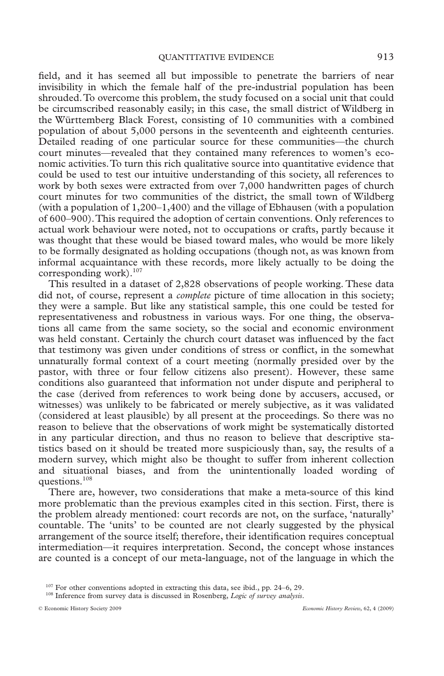field, and it has seemed all but impossible to penetrate the barriers of near invisibility in which the female half of the pre-industrial population has been shrouded.To overcome this problem, the study focused on a social unit that could be circumscribed reasonably easily; in this case, the small district of Wildberg in the Württemberg Black Forest, consisting of 10 communities with a combined population of about 5,000 persons in the seventeenth and eighteenth centuries. Detailed reading of one particular source for these communities—the church court minutes—revealed that they contained many references to women's economic activities.To turn this rich qualitative source into quantitative evidence that could be used to test our intuitive understanding of this society, all references to work by both sexes were extracted from over 7,000 handwritten pages of church court minutes for two communities of the district, the small town of Wildberg (with a population of 1,200–1,400) and the village of Ebhausen (with a population of 600–900).This required the adoption of certain conventions. Only references to actual work behaviour were noted, not to occupations or crafts, partly because it was thought that these would be biased toward males, who would be more likely to be formally designated as holding occupations (though not, as was known from informal acquaintance with these records, more likely actually to be doing the corresponding work).<sup>107</sup>

This resulted in a dataset of 2,828 observations of people working. These data did not, of course, represent a *complete* picture of time allocation in this society; they were a sample. But like any statistical sample, this one could be tested for representativeness and robustness in various ways. For one thing, the observations all came from the same society, so the social and economic environment was held constant. Certainly the church court dataset was influenced by the fact that testimony was given under conditions of stress or conflict, in the somewhat unnaturally formal context of a court meeting (normally presided over by the pastor, with three or four fellow citizens also present). However, these same conditions also guaranteed that information not under dispute and peripheral to the case (derived from references to work being done by accusers, accused, or witnesses) was unlikely to be fabricated or merely subjective, as it was validated (considered at least plausible) by all present at the proceedings. So there was no reason to believe that the observations of work might be systematically distorted in any particular direction, and thus no reason to believe that descriptive statistics based on it should be treated more suspiciously than, say, the results of a modern survey, which might also be thought to suffer from inherent collection and situational biases, and from the unintentionally loaded wording of questions.108

There are, however, two considerations that make a meta-source of this kind more problematic than the previous examples cited in this section. First, there is the problem already mentioned: court records are not, on the surface, 'naturally' countable. The 'units' to be counted are not clearly suggested by the physical arrangement of the source itself; therefore, their identification requires conceptual intermediation—it requires interpretation. Second, the concept whose instances are counted is a concept of our meta-language, not of the language in which the

<sup>&</sup>lt;sup>107</sup> For other conventions adopted in extracting this data, see ibid., pp. 24–6, 29.

<sup>108</sup> Inference from survey data is discussed in Rosenberg, *Logic of survey analysis*.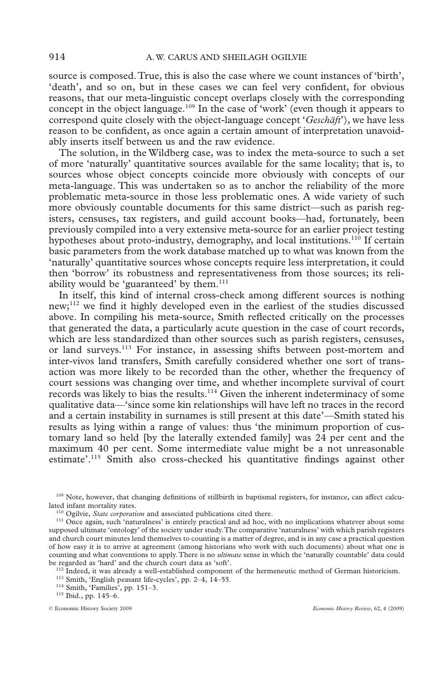source is composed.True, this is also the case where we count instances of 'birth', 'death', and so on, but in these cases we can feel very confident, for obvious reasons, that our meta-linguistic concept overlaps closely with the corresponding concept in the object language.109 In the case of 'work' (even though it appears to correspond quite closely with the object-language concept '*Geschäft*'), we have less reason to be confident, as once again a certain amount of interpretation unavoidably inserts itself between us and the raw evidence.

The solution, in the Wildberg case, was to index the meta-source to such a set of more 'naturally' quantitative sources available for the same locality; that is, to sources whose object concepts coincide more obviously with concepts of our meta-language. This was undertaken so as to anchor the reliability of the more problematic meta-source in those less problematic ones. A wide variety of such more obviously countable documents for this same district—such as parish registers, censuses, tax registers, and guild account books—had, fortunately, been previously compiled into a very extensive meta-source for an earlier project testing hypotheses about proto-industry, demography, and local institutions.<sup>110</sup> If certain basic parameters from the work database matched up to what was known from the 'naturally' quantitative sources whose concepts require less interpretation, it could then 'borrow' its robustness and representativeness from those sources; its reliability would be 'guaranteed' by them.<sup>111</sup>

In itself, this kind of internal cross-check among different sources is nothing new;<sup>112</sup> we find it highly developed even in the earliest of the studies discussed above. In compiling his meta-source, Smith reflected critically on the processes that generated the data, a particularly acute question in the case of court records, which are less standardized than other sources such as parish registers, censuses, or land surveys.113 For instance, in assessing shifts between post-mortem and inter-vivos land transfers, Smith carefully considered whether one sort of transaction was more likely to be recorded than the other, whether the frequency of court sessions was changing over time, and whether incomplete survival of court records was likely to bias the results. $114$  Given the inherent indeterminacy of some qualitative data—'since some kin relationships will have left no traces in the record and a certain instability in surnames is still present at this date'—Smith stated his results as lying within a range of values: thus 'the minimum proportion of customary land so held [by the laterally extended family] was 24 per cent and the maximum 40 per cent. Some intermediate value might be a not unreasonable estimate'.115 Smith also cross-checked his quantitative findings against other

<sup>109</sup> Note, however, that changing definitions of stillbirth in baptismal registers, for instance, can affect calculated infant mortality rates.

<sup>110</sup> Ogilvie, *State corporatism* and associated publications cited there.

<sup>111</sup> Once again, such 'naturalness' is entirely practical and ad hoc, with no implications whatever about some supposed ultimate 'ontology' of the society under study.The comparative 'naturalness' with which parish registers and church court minutes lend themselves to counting is a matter of degree, and is in any case a practical question of how easy it is to arrive at agreement (among historians who work with such documents) about what one is counting and what conventions to apply. There is no *ultimate* sense in which the 'naturally countable' data could be regarded as 'hard' and the church court data as 'soft'.

<sup>112</sup> Indeed, it was already a well-established component of the hermeneutic method of German historicism.

<sup>113</sup> Smith, 'English peasant life-cycles', pp. 2–4, 14–55.

<sup>114</sup> Smith, 'Families', pp. 151-3.

<sup>115</sup> Ibid., pp. 145–6.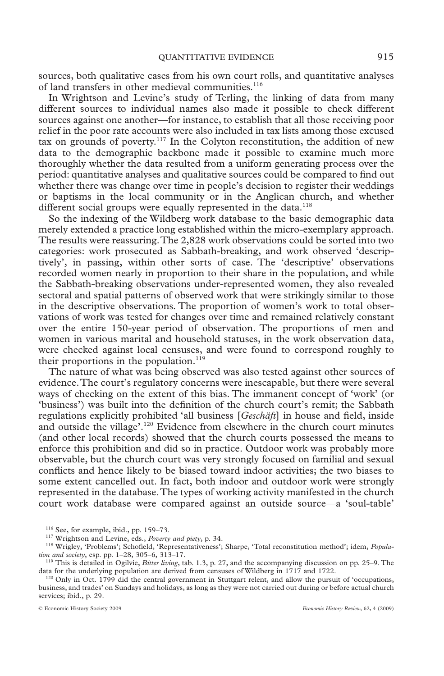sources, both qualitative cases from his own court rolls, and quantitative analyses of land transfers in other medieval communities.<sup>116</sup>

In Wrightson and Levine's study of Terling, the linking of data from many different sources to individual names also made it possible to check different sources against one another—for instance, to establish that all those receiving poor relief in the poor rate accounts were also included in tax lists among those excused tax on grounds of poverty.<sup>117</sup> In the Colyton reconstitution, the addition of new data to the demographic backbone made it possible to examine much more thoroughly whether the data resulted from a uniform generating process over the period: quantitative analyses and qualitative sources could be compared to find out whether there was change over time in people's decision to register their weddings or baptisms in the local community or in the Anglican church, and whether different social groups were equally represented in the data.<sup>118</sup>

So the indexing of the Wildberg work database to the basic demographic data merely extended a practice long established within the micro-exemplary approach. The results were reassuring.The 2,828 work observations could be sorted into two categories: work prosecuted as Sabbath-breaking, and work observed 'descriptively', in passing, within other sorts of case. The 'descriptive' observations recorded women nearly in proportion to their share in the population, and while the Sabbath-breaking observations under-represented women, they also revealed sectoral and spatial patterns of observed work that were strikingly similar to those in the descriptive observations. The proportion of women's work to total observations of work was tested for changes over time and remained relatively constant over the entire 150-year period of observation. The proportions of men and women in various marital and household statuses, in the work observation data, were checked against local censuses, and were found to correspond roughly to their proportions in the population.<sup>119</sup>

The nature of what was being observed was also tested against other sources of evidence.The court's regulatory concerns were inescapable, but there were several ways of checking on the extent of this bias. The immanent concept of 'work' (or 'business') was built into the definition of the church court's remit; the Sabbath regulations explicitly prohibited 'all business [*Geschäft*] in house and field, inside and outside the village'.<sup>120</sup> Evidence from elsewhere in the church court minutes (and other local records) showed that the church courts possessed the means to enforce this prohibition and did so in practice. Outdoor work was probably more observable, but the church court was very strongly focused on familial and sexual conflicts and hence likely to be biased toward indoor activities; the two biases to some extent cancelled out. In fact, both indoor and outdoor work were strongly represented in the database.The types of working activity manifested in the church court work database were compared against an outside source—a 'soul-table'

<sup>116</sup> See, for example, ibid., pp. 159–73.

<sup>117</sup> Wrightson and Levine, eds., *Poverty and piety*, p. 34.

<sup>118</sup> Wrigley, 'Problems'; Schofield, 'Representativeness'; Sharpe, 'Total reconstitution method'; idem, *Population and society*, esp. pp. 1–28, 305–6, 313–17.

<sup>119</sup> This is detailed in Ogilvie, *Bitter living*, tab. 1.3, p. 27, and the accompanying discussion on pp. 25–9. The data for the underlying population are derived from censuses of Wildberg in 1717 and 1722.

 $120$  Only in Oct. 1799 did the central government in Stuttgart relent, and allow the pursuit of 'occupations, business, and trades' on Sundays and holidays, as long as they were not carried out during or before actual church services; ibid., p. 29.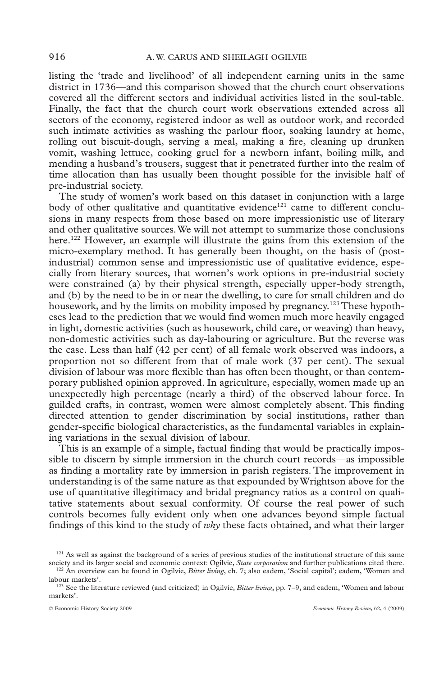listing the 'trade and livelihood' of all independent earning units in the same district in 1736—and this comparison showed that the church court observations covered all the different sectors and individual activities listed in the soul-table. Finally, the fact that the church court work observations extended across all sectors of the economy, registered indoor as well as outdoor work, and recorded such intimate activities as washing the parlour floor, soaking laundry at home, rolling out biscuit-dough, serving a meal, making a fire, cleaning up drunken vomit, washing lettuce, cooking gruel for a newborn infant, boiling milk, and mending a husband's trousers, suggest that it penetrated further into the realm of time allocation than has usually been thought possible for the invisible half of pre-industrial society.

The study of women's work based on this dataset in conjunction with a large body of other qualitative and quantitative evidence<sup>121</sup> came to different conclusions in many respects from those based on more impressionistic use of literary and other qualitative sources.We will not attempt to summarize those conclusions here.<sup>122</sup> However, an example will illustrate the gains from this extension of the micro-exemplary method. It has generally been thought, on the basis of (postindustrial) common sense and impressionistic use of qualitative evidence, especially from literary sources, that women's work options in pre-industrial society were constrained (a) by their physical strength, especially upper-body strength, and (b) by the need to be in or near the dwelling, to care for small children and do housework, and by the limits on mobility imposed by pregnancy.<sup>123</sup> These hypotheses lead to the prediction that we would find women much more heavily engaged in light, domestic activities (such as housework, child care, or weaving) than heavy, non-domestic activities such as day-labouring or agriculture. But the reverse was the case. Less than half (42 per cent) of all female work observed was indoors, a proportion not so different from that of male work (37 per cent). The sexual division of labour was more flexible than has often been thought, or than contemporary published opinion approved. In agriculture, especially, women made up an unexpectedly high percentage (nearly a third) of the observed labour force. In guilded crafts, in contrast, women were almost completely absent. This finding directed attention to gender discrimination by social institutions, rather than gender-specific biological characteristics, as the fundamental variables in explaining variations in the sexual division of labour.

This is an example of a simple, factual finding that would be practically impossible to discern by simple immersion in the church court records—as impossible as finding a mortality rate by immersion in parish registers. The improvement in understanding is of the same nature as that expounded byWrightson above for the use of quantitative illegitimacy and bridal pregnancy ratios as a control on qualitative statements about sexual conformity. Of course the real power of such controls becomes fully evident only when one advances beyond simple factual findings of this kind to the study of *why* these facts obtained, and what their larger

 $121$  As well as against the background of a series of previous studies of the institutional structure of this same society and its larger social and economic context: Ogilvie, *State corporatism* and further publications cited there.

<sup>122</sup> An overview can be found in Ogilvie, *Bitter living*, ch. 7; also eadem, 'Social capital'; eadem, 'Women and labour markets'.

<sup>123</sup> See the literature reviewed (and criticized) in Ogilvie, *Bitter living*, pp. 7–9, and eadem, 'Women and labour markets'.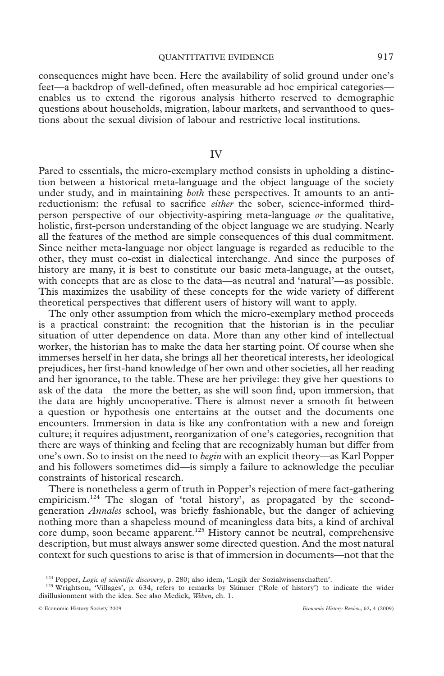#### QUANTITATIVE EVIDENCE 917

consequences might have been. Here the availability of solid ground under one's feet—a backdrop of well-defined, often measurable ad hoc empirical categories enables us to extend the rigorous analysis hitherto reserved to demographic questions about households, migration, labour markets, and servanthood to questions about the sexual division of labour and restrictive local institutions.

#### IV

Pared to essentials, the micro-exemplary method consists in upholding a distinction between a historical meta-language and the object language of the society under study, and in maintaining *both* these perspectives. It amounts to an antireductionism: the refusal to sacrifice *either* the sober, science-informed thirdperson perspective of our objectivity-aspiring meta-language *or* the qualitative, holistic, first-person understanding of the object language we are studying. Nearly all the features of the method are simple consequences of this dual commitment. Since neither meta-language nor object language is regarded as reducible to the other, they must co-exist in dialectical interchange. And since the purposes of history are many, it is best to constitute our basic meta-language, at the outset, with concepts that are as close to the data—as neutral and 'natural'—as possible. This maximizes the usability of these concepts for the wide variety of different theoretical perspectives that different users of history will want to apply.

The only other assumption from which the micro-exemplary method proceeds is a practical constraint: the recognition that the historian is in the peculiar situation of utter dependence on data. More than any other kind of intellectual worker, the historian has to make the data her starting point. Of course when she immerses herself in her data, she brings all her theoretical interests, her ideological prejudices, her first-hand knowledge of her own and other societies, all her reading and her ignorance, to the table. These are her privilege: they give her questions to ask of the data—the more the better, as she will soon find, upon immersion, that the data are highly uncooperative. There is almost never a smooth fit between a question or hypothesis one entertains at the outset and the documents one encounters. Immersion in data is like any confrontation with a new and foreign culture; it requires adjustment, reorganization of one's categories, recognition that there are ways of thinking and feeling that are recognizably human but differ from one's own. So to insist on the need to *begin* with an explicit theory—as Karl Popper and his followers sometimes did—is simply a failure to acknowledge the peculiar constraints of historical research.

There is nonetheless a germ of truth in Popper's rejection of mere fact-gathering empiricism.<sup>124</sup> The slogan of 'total history', as propagated by the secondgeneration *Annales* school, was briefly fashionable, but the danger of achieving nothing more than a shapeless mound of meaningless data bits, a kind of archival core dump, soon became apparent.125 History cannot be neutral, comprehensive description, but must always answer some directed question. And the most natural context for such questions to arise is that of immersion in documents—not that the

<sup>124</sup> Popper, *Logic of scientific discovery*, p. 280; also idem, 'Logik der Sozialwissenschaften'.

<sup>125</sup> Wrightson, 'Villages', p. 634, refers to remarks by Skinner ('Role of history') to indicate the wider disillusionment with the idea. See also Medick, *Weben*, ch. 1.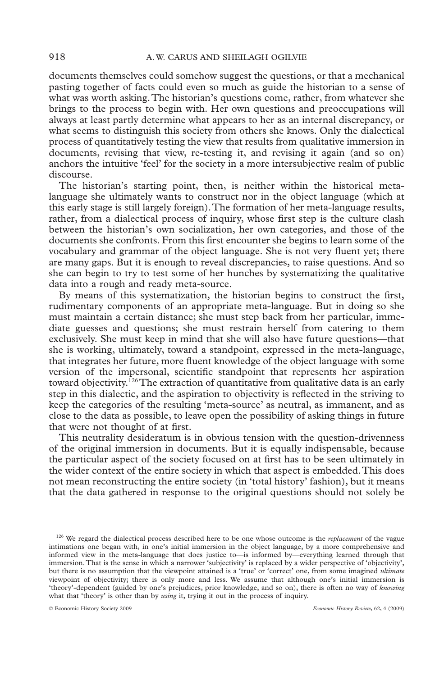documents themselves could somehow suggest the questions, or that a mechanical pasting together of facts could even so much as guide the historian to a sense of what was worth asking. The historian's questions come, rather, from whatever she brings to the process to begin with. Her own questions and preoccupations will always at least partly determine what appears to her as an internal discrepancy, or what seems to distinguish this society from others she knows. Only the dialectical process of quantitatively testing the view that results from qualitative immersion in documents, revising that view, re-testing it, and revising it again (and so on) anchors the intuitive 'feel' for the society in a more intersubjective realm of public discourse.

The historian's starting point, then, is neither within the historical metalanguage she ultimately wants to construct nor in the object language (which at this early stage is still largely foreign).The formation of her meta-language results, rather, from a dialectical process of inquiry, whose first step is the culture clash between the historian's own socialization, her own categories, and those of the documents she confronts. From this first encounter she begins to learn some of the vocabulary and grammar of the object language. She is not very fluent yet; there are many gaps. But it is enough to reveal discrepancies, to raise questions. And so she can begin to try to test some of her hunches by systematizing the qualitative data into a rough and ready meta-source.

By means of this systematization, the historian begins to construct the first, rudimentary components of an appropriate meta-language. But in doing so she must maintain a certain distance; she must step back from her particular, immediate guesses and questions; she must restrain herself from catering to them exclusively. She must keep in mind that she will also have future questions—that she is working, ultimately, toward a standpoint, expressed in the meta-language, that integrates her future, more fluent knowledge of the object language with some version of the impersonal, scientific standpoint that represents her aspiration toward objectivity.<sup>126</sup>The extraction of quantitative from qualitative data is an early step in this dialectic, and the aspiration to objectivity is reflected in the striving to keep the categories of the resulting 'meta-source' as neutral, as immanent, and as close to the data as possible, to leave open the possibility of asking things in future that were not thought of at first.

This neutrality desideratum is in obvious tension with the question-drivenness of the original immersion in documents. But it is equally indispensable, because the particular aspect of the society focused on at first has to be seen ultimately in the wider context of the entire society in which that aspect is embedded.This does not mean reconstructing the entire society (in 'total history' fashion), but it means that the data gathered in response to the original questions should not solely be

<sup>&</sup>lt;sup>126</sup> We regard the dialectical process described here to be one whose outcome is the *replacement* of the vague intimations one began with, in one's initial immersion in the object language, by a more comprehensive and informed view in the meta-language that does justice to—is informed by—everything learned through that immersion. That is the sense in which a narrower 'subjectivity' is replaced by a wider perspective of 'objectivity', but there is no assumption that the viewpoint attained is a 'true' or 'correct' one, from some imagined *ultimate* viewpoint of objectivity; there is only more and less. We assume that although one's initial immersion is 'theory'-dependent (guided by one's prejudices, prior knowledge, and so on), there is often no way of *knowing* what that 'theory' is other than by *using* it, trying it out in the process of inquiry.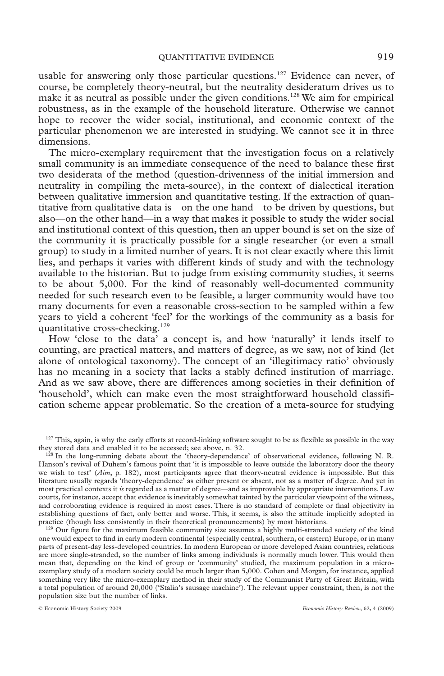usable for answering only those particular questions.<sup>127</sup> Evidence can never, of course, be completely theory-neutral, but the neutrality desideratum drives us to make it as neutral as possible under the given conditions.<sup>128</sup> We aim for empirical robustness, as in the example of the household literature. Otherwise we cannot hope to recover the wider social, institutional, and economic context of the particular phenomenon we are interested in studying. We cannot see it in three dimensions.

The micro-exemplary requirement that the investigation focus on a relatively small community is an immediate consequence of the need to balance these first two desiderata of the method (question-drivenness of the initial immersion and neutrality in compiling the meta-source), in the context of dialectical iteration between qualitative immersion and quantitative testing. If the extraction of quantitative from qualitative data is—on the one hand—to be driven by questions, but also—on the other hand—in a way that makes it possible to study the wider social and institutional context of this question, then an upper bound is set on the size of the community it is practically possible for a single researcher (or even a small group) to study in a limited number of years. It is not clear exactly where this limit lies, and perhaps it varies with different kinds of study and with the technology available to the historian. But to judge from existing community studies, it seems to be about 5,000. For the kind of reasonably well-documented community needed for such research even to be feasible, a larger community would have too many documents for even a reasonable cross-section to be sampled within a few years to yield a coherent 'feel' for the workings of the community as a basis for quantitative cross-checking.<sup>129</sup>

How 'close to the data' a concept is, and how 'naturally' it lends itself to counting, are practical matters, and matters of degree, as we saw, not of kind (let alone of ontological taxonomy). The concept of an 'illegitimacy ratio' obviously has no meaning in a society that lacks a stably defined institution of marriage. And as we saw above, there are differences among societies in their definition of 'household', which can make even the most straightforward household classification scheme appear problematic. So the creation of a meta-source for studying

<sup>129</sup> Our figure for the maximum feasible community size assumes a highly multi-stranded society of the kind one would expect to find in early modern continental (especially central, southern, or eastern) Europe, or in many parts of present-day less-developed countries. In modern European or more developed Asian countries, relations are more single-stranded, so the number of links among individuals is normally much lower. This would then mean that, depending on the kind of group or 'community' studied, the maximum population in a microexemplary study of a modern society could be much larger than 5,000. Cohen and Morgan, for instance, applied something very like the micro-exemplary method in their study of the Communist Party of Great Britain, with a total population of around 20,000 ('Stalin's sausage machine'). The relevant upper constraint, then, is not the population size but the number of links.

<sup>&</sup>lt;sup>127</sup> This, again, is why the early efforts at record-linking software sought to be as flexible as possible in the way they stored data and enabled it to be accessed; see above, n. 32.

 $1^{28}$  In the long-running debate about the 'theory-dependence' of observational evidence, following N. R. Hanson's revival of Duhem's famous point that 'it is impossible to leave outside the laboratory door the theory we wish to test' (*Aim*, p. 182), most participants agree that theory-neutral evidence is impossible. But this literature usually regards 'theory-dependence' as either present or absent, not as a matter of degree. And yet in most practical contexts it *is* regarded as a matter of degree—and as improvable by appropriate interventions. Law courts, for instance, accept that evidence is inevitably somewhat tainted by the particular viewpoint of the witness, and corroborating evidence is required in most cases. There is no standard of complete or final objectivity in establishing questions of fact, only better and worse. This, it seems, is also the attitude implicitly adopted in practice (though less consistently in their theoretical pronouncements) by most historians.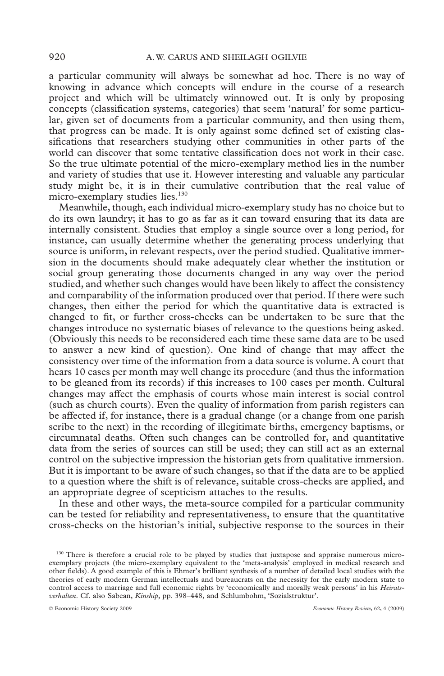a particular community will always be somewhat ad hoc. There is no way of knowing in advance which concepts will endure in the course of a research project and which will be ultimately winnowed out. It is only by proposing concepts (classification systems, categories) that seem 'natural' for some particular, given set of documents from a particular community, and then using them, that progress can be made. It is only against some defined set of existing classifications that researchers studying other communities in other parts of the world can discover that some tentative classification does not work in their case. So the true ultimate potential of the micro-exemplary method lies in the number and variety of studies that use it. However interesting and valuable any particular study might be, it is in their cumulative contribution that the real value of micro-exemplary studies lies.<sup>130</sup>

Meanwhile, though, each individual micro-exemplary study has no choice but to do its own laundry; it has to go as far as it can toward ensuring that its data are internally consistent. Studies that employ a single source over a long period, for instance, can usually determine whether the generating process underlying that source is uniform, in relevant respects, over the period studied. Qualitative immersion in the documents should make adequately clear whether the institution or social group generating those documents changed in any way over the period studied, and whether such changes would have been likely to affect the consistency and comparability of the information produced over that period. If there were such changes, then either the period for which the quantitative data is extracted is changed to fit, or further cross-checks can be undertaken to be sure that the changes introduce no systematic biases of relevance to the questions being asked. (Obviously this needs to be reconsidered each time these same data are to be used to answer a new kind of question). One kind of change that may affect the consistency over time of the information from a data source is volume. A court that hears 10 cases per month may well change its procedure (and thus the information to be gleaned from its records) if this increases to 100 cases per month. Cultural changes may affect the emphasis of courts whose main interest is social control (such as church courts). Even the quality of information from parish registers can be affected if, for instance, there is a gradual change (or a change from one parish scribe to the next) in the recording of illegitimate births, emergency baptisms, or circumnatal deaths. Often such changes can be controlled for, and quantitative data from the series of sources can still be used; they can still act as an external control on the subjective impression the historian gets from qualitative immersion. But it is important to be aware of such changes, so that if the data are to be applied to a question where the shift is of relevance, suitable cross-checks are applied, and an appropriate degree of scepticism attaches to the results.

In these and other ways, the meta-source compiled for a particular community can be tested for reliability and representativeness, to ensure that the quantitative cross-checks on the historian's initial, subjective response to the sources in their

<sup>&</sup>lt;sup>130</sup> There is therefore a crucial role to be played by studies that juxtapose and appraise numerous microexemplary projects (the micro-exemplary equivalent to the 'meta-analysis' employed in medical research and other fields). A good example of this is Ehmer's brilliant synthesis of a number of detailed local studies with the theories of early modern German intellectuals and bureaucrats on the necessity for the early modern state to control access to marriage and full economic rights by 'economically and morally weak persons' in his *Heiratsverhalten*. Cf. also Sabean, *Kinship*, pp. 398–448, and Schlumbohm, 'Sozialstruktur'.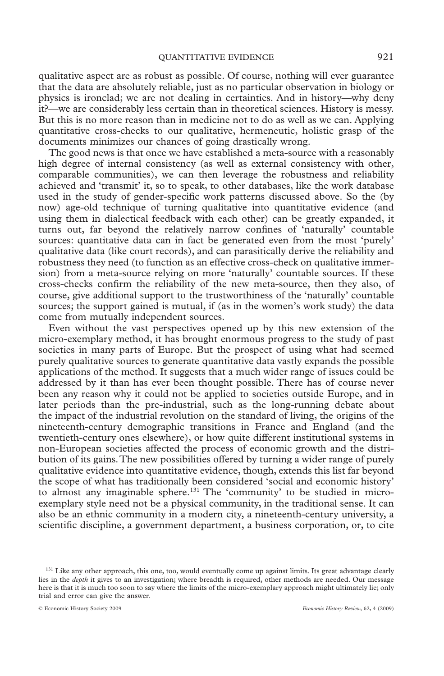qualitative aspect are as robust as possible. Of course, nothing will ever guarantee that the data are absolutely reliable, just as no particular observation in biology or physics is ironclad; we are not dealing in certainties. And in history—why deny it?—we are considerably less certain than in theoretical sciences. History is messy. But this is no more reason than in medicine not to do as well as we can. Applying quantitative cross-checks to our qualitative, hermeneutic, holistic grasp of the documents minimizes our chances of going drastically wrong.

The good news is that once we have established a meta-source with a reasonably high degree of internal consistency (as well as external consistency with other, comparable communities), we can then leverage the robustness and reliability achieved and 'transmit' it, so to speak, to other databases, like the work database used in the study of gender-specific work patterns discussed above. So the (by now) age-old technique of turning qualitative into quantitative evidence (and using them in dialectical feedback with each other) can be greatly expanded, it turns out, far beyond the relatively narrow confines of 'naturally' countable sources: quantitative data can in fact be generated even from the most 'purely' qualitative data (like court records), and can parasitically derive the reliability and robustness they need (to function as an effective cross-check on qualitative immersion) from a meta-source relying on more 'naturally' countable sources. If these cross-checks confirm the reliability of the new meta-source, then they also, of course, give additional support to the trustworthiness of the 'naturally' countable sources; the support gained is mutual, if (as in the women's work study) the data come from mutually independent sources.

Even without the vast perspectives opened up by this new extension of the micro-exemplary method, it has brought enormous progress to the study of past societies in many parts of Europe. But the prospect of using what had seemed purely qualitative sources to generate quantitative data vastly expands the possible applications of the method. It suggests that a much wider range of issues could be addressed by it than has ever been thought possible. There has of course never been any reason why it could not be applied to societies outside Europe, and in later periods than the pre-industrial, such as the long-running debate about the impact of the industrial revolution on the standard of living, the origins of the nineteenth-century demographic transitions in France and England (and the twentieth-century ones elsewhere), or how quite different institutional systems in non-European societies affected the process of economic growth and the distribution of its gains.The new possibilities offered by turning a wider range of purely qualitative evidence into quantitative evidence, though, extends this list far beyond the scope of what has traditionally been considered 'social and economic history' to almost any imaginable sphere.<sup>131</sup> The 'community' to be studied in microexemplary style need not be a physical community, in the traditional sense. It can also be an ethnic community in a modern city, a nineteenth-century university, a scientific discipline, a government department, a business corporation, or, to cite

<sup>&</sup>lt;sup>131</sup> Like any other approach, this one, too, would eventually come up against limits. Its great advantage clearly lies in the *depth* it gives to an investigation; where breadth is required, other methods are needed. Our message here is that it is much too soon to say where the limits of the micro-exemplary approach might ultimately lie; only trial and error can give the answer.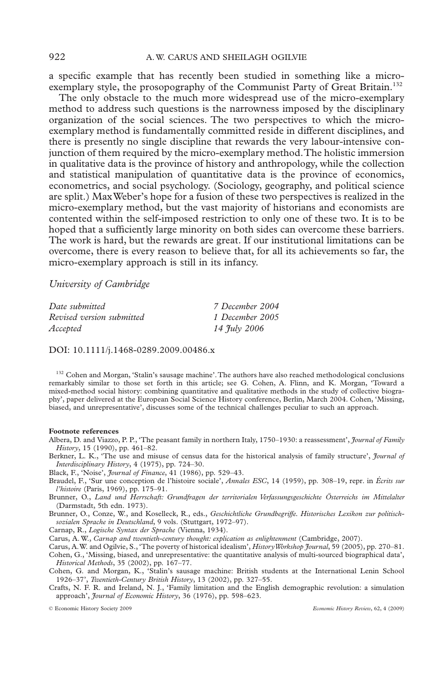a specific example that has recently been studied in something like a microexemplary style, the prosopography of the Communist Party of Great Britain.<sup>132</sup>

The only obstacle to the much more widespread use of the micro-exemplary method to address such questions is the narrowness imposed by the disciplinary organization of the social sciences. The two perspectives to which the microexemplary method is fundamentally committed reside in different disciplines, and there is presently no single discipline that rewards the very labour-intensive conjunction of them required by the micro-exemplary method.The holistic immersion in qualitative data is the province of history and anthropology, while the collection and statistical manipulation of quantitative data is the province of economics, econometrics, and social psychology. (Sociology, geography, and political science are split.) MaxWeber's hope for a fusion of these two perspectives is realized in the micro-exemplary method, but the vast majority of historians and economists are contented within the self-imposed restriction to only one of these two. It is to be hoped that a sufficiently large minority on both sides can overcome these barriers. The work is hard, but the rewards are great. If our institutional limitations can be overcome, there is every reason to believe that, for all its achievements so far, the micro-exemplary approach is still in its infancy.

#### *University of Cambridge*

*Date submitted 7 December 2004 Revised version submitted 1 December 2005 Accepted* 14 *July 2006* 

#### DOI: 10.1111/j.1468-0289.2009.00486.x

<sup>132</sup> Cohen and Morgan, 'Stalin's sausage machine'. The authors have also reached methodological conclusions remarkably similar to those set forth in this article; see G. Cohen, A. Flinn, and K. Morgan, 'Toward a mixed-method social history: combining quantitative and qualitative methods in the study of collective biography', paper delivered at the European Social Science History conference, Berlin, March 2004. Cohen, 'Missing, biased, and unrepresentative', discusses some of the technical challenges peculiar to such an approach.

#### **Footnote references**

Albera, D. and Viazzo, P. P., 'The peasant family in northern Italy, 1750–1930: a reassessment', *Journal of Family History*, 15 (1990), pp. 461–82.

Berkner, L. K., 'The use and misuse of census data for the historical analysis of family structure', *Journal of Interdisciplinary History*, 4 (1975), pp. 724–30.

Black, F., 'Noise', *Journal of Finance*, 41 (1986), pp. 529–43.

Braudel, F., 'Sur une conception de l'histoire sociale', *Annales ESC*, 14 (1959), pp. 308–19, repr. in *Écrits sur l'histoire* (Paris, 1969), pp. 175–91.

Brunner, O., *Land und Herrschaft: Grundfragen der territorialen Verfassungsgeschichte Österreichs im Mittelalter* (Darmstadt, 5th edn. 1973).

Brunner, O., Conze, W., and Koselleck, R., eds., *Geschichtliche Grundbegriffe. Historisches Lexikon zur politischsozialen Sprache in Deutschland*, 9 vols. (Stuttgart, 1972–97).

Carnap, R., *Logische Syntax der Sprache* (Vienna, 1934).

Carus, A. W., *Carnap and twentieth-century thought: explication as enlightenment* (Cambridge, 2007).

Carus, A.W. and Ogilvie, S., 'The poverty of historical idealism', *HistoryWorkshop Journal*, 59 (2005), pp. 270–81. Cohen, G., 'Missing, biased, and unrepresentative: the quantitative analysis of multi-sourced biographical data', *Historical Methods*, 35 (2002), pp. 167–77.

Cohen, G. and Morgan, K., 'Stalin's sausage machine: British students at the International Lenin School 1926–37', *Twentieth-Century British History*, 13 (2002), pp. 327–55.

Crafts, N. F. R. and Ireland, N. J., 'Family limitation and the English demographic revolution: a simulation approach', *Journal of Economic History*, 36 (1976), pp. 598–623.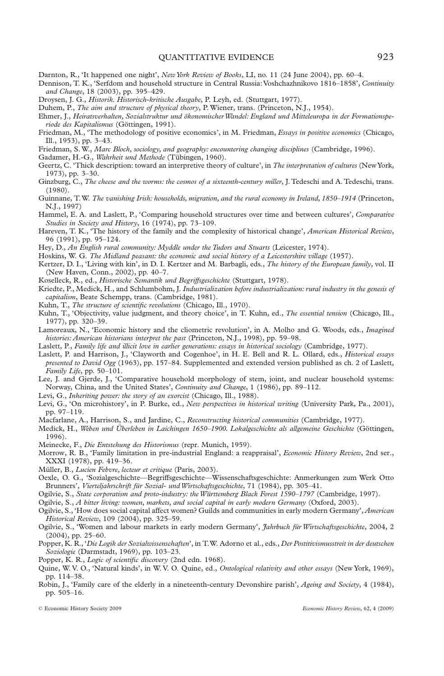- Darnton, R., 'It happened one night', *NewYork Review of Books*, LI, no. 11 (24 June 2004), pp. 60–4.
- Dennison, T. K., 'Serfdom and household structure in Central Russia: Voshchazhnikovo 1816–1858', *Continuity and Change*, 18 (2003), pp. 395–429.
- Droysen, J. G., *Historik. Historisch-kritische Ausgabe*, P. Leyh, ed. (Stuttgart, 1977).
- Duhem, P., *The aim and structure of physical theory*, P. Wiener, trans. (Princeton, N.J., 1954).
- Ehmer, J., *Heiratsverhalten, Sozialstruktur und ökonomischerWandel: England und Mitteleuropa in der Formationsperiode des Kapitalismus* (Göttingen, 1991).
- Friedman, M., 'The methodology of positive economics', in M. Friedman, *Essays in positive economics* (Chicago, Ill., 1953), pp. 3–43.
- Friedman, S. W., *Marc Bloch, sociology, and geography: encountering changing disciplines* (Cambridge, 1996).
- Gadamer, H.-G., *Wahrheit und Methode* (Tübingen, 1960).
- Geertz, C. 'Thick description: toward an interpretive theory of culture', in *The interpretation of cultures* (NewYork, 1973), pp. 3–30.
- Ginzburg, C., *The cheese and the worms: the cosmos of a sixteenth-century miller*, J. Tedeschi and A. Tedeschi, trans. (1980).
- Guinnane, T.W. *The vanishing Irish: households, migration, and the rural economy in Ireland, 1850–1914* (Princeton, N.J., 1997)
- Hammel, E. A. and Laslett, P., 'Comparing household structures over time and between cultures', *Comparative Studies in Society and History*, 16 (1974), pp. 73–109.
- Hareven, T. K., 'The history of the family and the complexity of historical change', *American Historical Review*, 96 (1991), pp. 95–124.
- Hey, D., *An English rural community: Myddle under the Tudors and Stuarts* (Leicester, 1974).
- Hoskins, W. G. *The Midland peasant: the economic and social history of a Leicestershire village* (1957).
- Kertzer, D. I., 'Living with kin', in D. I. Kertzer and M. Barbagli, eds., *The history of the European family*, vol. II (New Haven, Conn., 2002), pp. 40–7.
- Koselleck, R., ed., *Historische Semantik und Begriffsgeschichte* (Stuttgart, 1978).
- Kriedte, P., Medick, H., and Schlumbohm, J. *Industrialization before industrialization: rural industry in the genesis of capitalism*, Beate Schempp, trans. (Cambridge, 1981).
- Kuhn, T., *The structure of scientific revolutions* (Chicago, Ill., 1970).
- Kuhn, T., 'Objectivity, value judgment, and theory choice', in T. Kuhn, ed., *The essential tension* (Chicago, Ill., 1977), pp. 320–39.
- Lamoreaux, N., 'Economic history and the cliometric revolution', in A. Molho and G. Woods, eds., *Imagined histories: American historians interpret the past* (Princeton, N.J., 1998), pp. 59–98.
- Laslett, P., *Family life and illicit love in earlier generations: essays in historical sociology* (Cambridge, 1977).
- Laslett, P. and Harrison, J., 'Clayworth and Cogenhoe', in H. E. Bell and R. L. Ollard, eds., *Historical essays presented to David Ogg* (1963), pp. 157–84. Supplemented and extended version published as ch. 2 of Laslett, *Family Life*, pp. 50–101.
- Lee, J. and Gjerde, J., 'Comparative household morphology of stem, joint, and nuclear household systems: Norway, China, and the United States', *Continuity and Change*, 1 (1986), pp. 89–112.
- Levi, G., *Inheriting power: the story of an exorcist* (Chicago, Ill., 1988).
- Levi, G., 'On microhistory', in P. Burke, ed., *New perspectives in historical writing* (University Park, Pa., 2001), pp. 97–119.
- Macfarlane, A., Harrison, S., and Jardine, C., *Reconstructing historical communities* (Cambridge, 1977).
- Medick, H., *Weben und Überleben in Laichingen 1650–1900. Lokalgeschichte als allgemeine Geschichte* (Göttingen, 1996).
- Meinecke, F., *Die Entstehung des Historismus* (repr. Munich, 1959).
- Morrow, R. B., 'Family limitation in pre-industrial England: a reappraisal', *Economic History Review*, 2nd ser., XXXI (1978), pp. 419–36.
- Müller, B., *Lucien Febvre, lecteur et critique* (Paris, 2003).
- Oexle, O. G., 'Sozialgeschichte—Begriffsgeschichte—Wissenschaftsgeschichte: Anmerkungen zum Werk Otto Brunners', *Vierteljahrschrift für Sozial- undWirtschaftsgeschichte*, 71 (1984), pp. 305–41.
- Ogilvie, S., *State corporatism and proto-industry: theWürttemberg Black Forest 1590–1797* (Cambridge, 1997).
- Ogilvie, S., *A bitter living: women, markets, and social capital in early modern Germany* (Oxford, 2003).
- Ogilvie, S., 'How does social capital affect women? Guilds and communities in early modern Germany', *American Historical Review*, 109 (2004), pp. 325–59.
- Ogilvie, S., 'Women and labour markets in early modern Germany', *Jahrbuch für Wirtschaftsgeschichte*, 2004, 2 (2004), pp. 25–60.
- Popper, K. R., '*Die Logik der Sozialwissenschaften*', in T.W. Adorno et al., eds., *Der Postitivismusstreit in der deutschen Soziologie* (Darmstadt, 1969), pp. 103–23.
- Popper, K. R., *Logic of scientific discovery* (2nd edn. 1968).
- Quine, W. V. O., 'Natural kinds', in W. V. O. Quine, ed., *Ontological relativity and other essays* (New York, 1969), pp. 114–38.
- Robin, J., 'Family care of the elderly in a nineteenth-century Devonshire parish', *Ageing and Society*, 4 (1984), pp. 505–16.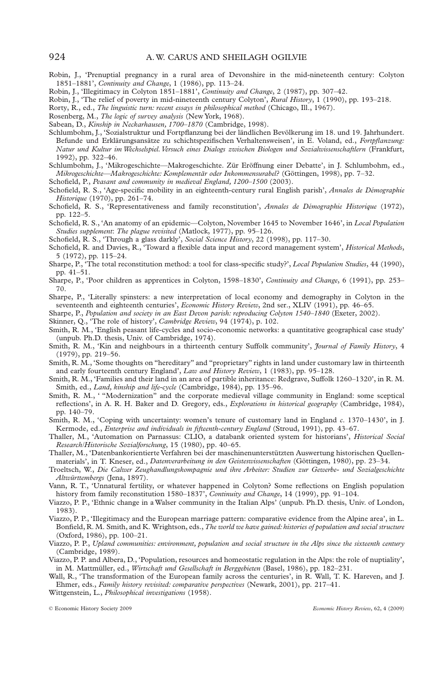- Robin, J., 'Prenuptial pregnancy in a rural area of Devonshire in the mid-nineteenth century: Colyton 1851–1881', *Continuity and Change*, 1 (1986), pp. 113–24.
- Robin, J., 'Illegitimacy in Colyton 1851–1881', *Continuity and Change*, 2 (1987), pp. 307–42.
- Robin, J., 'The relief of poverty in mid-nineteenth century Colyton', *Rural History*, 1 (1990), pp. 193–218.
- Rorty, R., ed., *The linguistic turn: recent essays in philosophical method* (Chicago, Ill., 1967).
- Rosenberg, M., *The logic of survey analysis* (New York, 1968).
- Sabean, D., *Kinship in Neckarhausen, 1700–1870* (Cambridge, 1998).
- Schlumbohm, J., 'Sozialstruktur und Fortpflanzung bei der ländlichen Bevölkerung im 18. und 19. Jahrhundert. Befunde und Erklärungsansätze zu schichtspezifischen Verhaltensweisen', in E. Voland, ed., *Fortpflanzung: Natur und Kultur im Wechselspiel.Versuch eines Dialogs zwischen Biologen und Sozialwissenschaftlern* (Frankfurt, 1992), pp. 322–46.
- Schlumbohm, J., 'Mikrogeschichte—Makrogeschichte. Zür Eröffnung einer Debatte', in J. Schlumbohm, ed., *Mikrogeschichte—Makrogeschichte: Komplementär oder Inkommensurabel?* (Göttingen, 1998), pp. 7–32.
- Schofield, P., *Peasant and community in medieval England, 1200–1500* (2003).
- Schofield, R. S., 'Age-specific mobility in an eighteenth-century rural English parish', *Annales de Démographie Historique* (1970), pp. 261–74.
- Schofield, R. S., 'Representativeness and family reconstitution', *Annales de Démographie Historique* (1972), pp. 122–5.
- Schofield, R. S., 'An anatomy of an epidemic—Colyton, November 1645 to November 1646', in *Local Population Studies supplement*: *The plague revisited* (Matlock, 1977), pp. 95–126.
- Schofield, R. S., 'Through a glass darkly', *Social Science History*, 22 (1998), pp. 117–30.
- Schofield, R. and Davies, R., 'Toward a flexible data input and record management system', *Historical Methods*, 5 (1972), pp. 115–24.
- Sharpe, P., 'The total reconstitution method: a tool for class-specific study?', *Local Population Studies*, 44 (1990), pp. 41–51.
- Sharpe, P., 'Poor children as apprentices in Colyton, 1598–1830', *Continuity and Change*, 6 (1991), pp. 253– 70.
- Sharpe, P., 'Literally spinsters: a new interpretation of local economy and demography in Colyton in the seventeenth and eighteenth centuries', *Economic History Review*, 2nd ser., XLIV (1991), pp. 46–65.
- Sharpe, P., *Population and society in an East Devon parish: reproducing Colyton 1540–1840* (Exeter, 2002).
- Skinner, Q., 'The role of history', *Cambridge Review*, 94 (1974), p. 102.
- Smith, R. M., 'English peasant life-cycles and socio-economic networks: a quantitative geographical case study' (unpub. Ph.D. thesis, Univ. of Cambridge, 1974).
- Smith, R. M., 'Kin and neighbours in a thirteenth century Suffolk community', *Journal of Family History*, 4 (1979), pp. 219–56.
- Smith, R. M., 'Some thoughts on "hereditary" and "proprietary" rights in land under customary law in thirteenth and early fourteenth century England', *Law and History Review*, 1 (1983), pp. 95–128.
- Smith, R. M., 'Families and their land in an area of partible inheritance: Redgrave, Suffolk 1260–1320', in R. M. Smith, ed., *Land, kinship and life-cycle* (Cambridge, 1984), pp. 135–96.
- Smith, R. M., ' "Modernization" and the corporate medieval village community in England: some sceptical reflections', in A. R. H. Baker and D. Gregory, eds., *Explorations in historical geography* (Cambridge, 1984), pp. 140–79.
- Smith, R. M., 'Coping with uncertainty: women's tenure of customary land in England *c*. 1370–1430', in J. Kermode, ed., *Enterprise and individuals in fifteenth-century England* (Stroud, 1991), pp. 43–67.
- Thaller, M., 'Automation on Parnassus: CLIO, a databank oriented system for historians', *Historical Social Research/Historische Sozialforschung*, 15 (1980), pp. 40–65.
- Thaller, M., 'Datenbankorientierte Verfahren bei der maschinenunterstützten Auswertung historischen Quellenmaterials', in T. Kneser, ed., *Datenverarbeitung in den Geisteswissenschaften* (Göttingen, 1980), pp. 23–34.
- Troeltsch, W., *Die Calwer Zeughandlungskompagnie und ihre Arbeiter: Studien zur Gewerbe- und Sozialgeschichte Altwürttembergs* (Jena, 1897).
- Vann, R. T., 'Unnatural fertility, or whatever happened in Colyton? Some reflections on English population history from family reconstitution 1580–1837', *Continuity and Change*, 14 (1999), pp. 91–104.
- Viazzo, P. P., 'Ethnic change in a Walser community in the Italian Alps' (unpub. Ph.D. thesis, Univ. of London, 1983).
- Viazzo, P. P., 'Illegitimacy and the European marriage pattern: comparative evidence from the Alpine area', in L. Bonfield, R. M. Smith, and K. Wrightson, eds., *The world we have gained: histories of population and social structure* (Oxford, 1986), pp. 100–21.
- Viazzo, P. P., *Upland communities: environment, population and social structure in the Alps since the sixteenth century* (Cambridge, 1989).
- Viazzo, P. P. and Albera, D., 'Population, resources and homeostatic regulation in the Alps: the role of nuptiality', in M. Mattmüller, ed., *Wirtschaft und Gesellschaft in Berggebieten* (Basel, 1986), pp. 182–231.
- Wall, R., 'The transformation of the European family across the centuries', in R. Wall, T. K. Hareven, and J. Ehmer, eds., *Family history revisited: comparative perspectives* (Newark, 2001), pp. 217–41.

Wittgenstein, L., *Philosophical investigations* (1958).